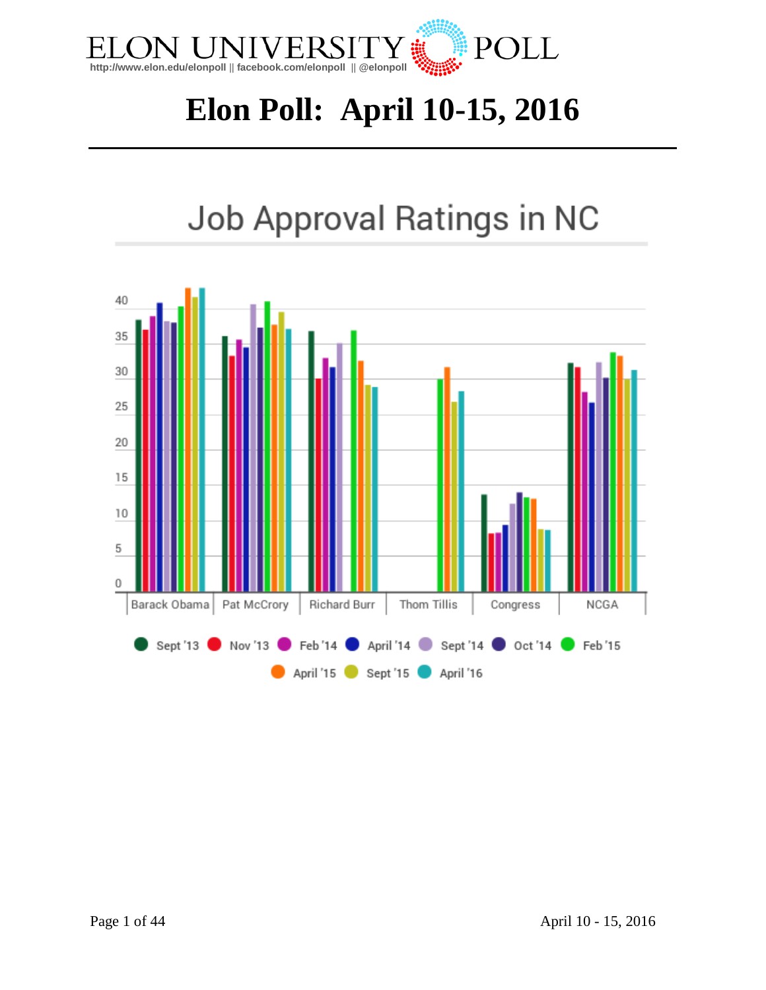

# **Elon Poll: April 10-15, 2016**

# Job Approval Ratings in NC

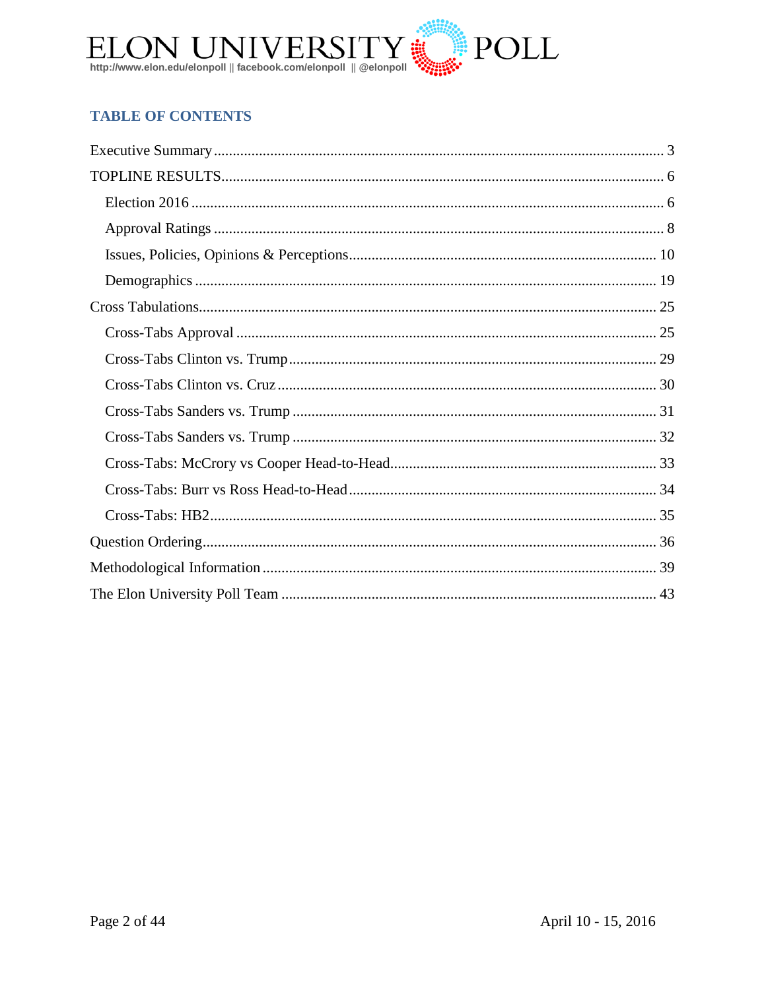

### **TABLE OF CONTENTS**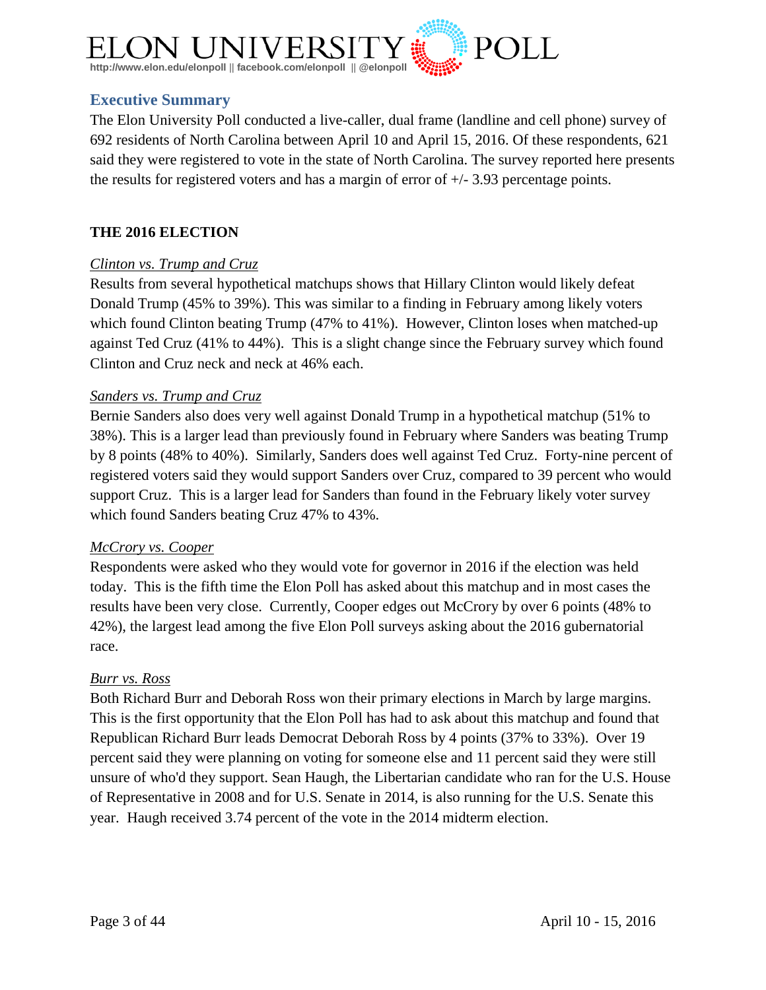

#### <span id="page-2-0"></span>**Executive Summary**

The Elon University Poll conducted a live-caller, dual frame (landline and cell phone) survey of 692 residents of North Carolina between April 10 and April 15, 2016. Of these respondents, 621 said they were registered to vote in the state of North Carolina. The survey reported here presents the results for registered voters and has a margin of error of  $+/- 3.93$  percentage points.

#### **THE 2016 ELECTION**

#### *Clinton vs. Trump and Cruz*

Results from several hypothetical matchups shows that Hillary Clinton would likely defeat Donald Trump (45% to 39%). This was similar to a finding in February among likely voters which found Clinton beating Trump (47% to 41%). However, Clinton loses when matched-up against Ted Cruz (41% to 44%). This is a slight change since the February survey which found Clinton and Cruz neck and neck at 46% each.

#### *Sanders vs. Trump and Cruz*

Bernie Sanders also does very well against Donald Trump in a hypothetical matchup (51% to 38%). This is a larger lead than previously found in February where Sanders was beating Trump by 8 points (48% to 40%). Similarly, Sanders does well against Ted Cruz. Forty-nine percent of registered voters said they would support Sanders over Cruz, compared to 39 percent who would support Cruz. This is a larger lead for Sanders than found in the February likely voter survey which found Sanders beating Cruz 47% to 43%.

#### *McCrory vs. Cooper*

Respondents were asked who they would vote for governor in 2016 if the election was held today. This is the fifth time the Elon Poll has asked about this matchup and in most cases the results have been very close. Currently, Cooper edges out McCrory by over 6 points (48% to 42%), the largest lead among the five Elon Poll surveys asking about the 2016 gubernatorial race.

#### *Burr vs. Ross*

Both Richard Burr and Deborah Ross won their primary elections in March by large margins. This is the first opportunity that the Elon Poll has had to ask about this matchup and found that Republican Richard Burr leads Democrat Deborah Ross by 4 points (37% to 33%). Over 19 percent said they were planning on voting for someone else and 11 percent said they were still unsure of who'd they support. Sean Haugh, the Libertarian candidate who ran for the U.S. House of Representative in 2008 and for U.S. Senate in 2014, is also running for the U.S. Senate this year. Haugh received 3.74 percent of the vote in the 2014 midterm election.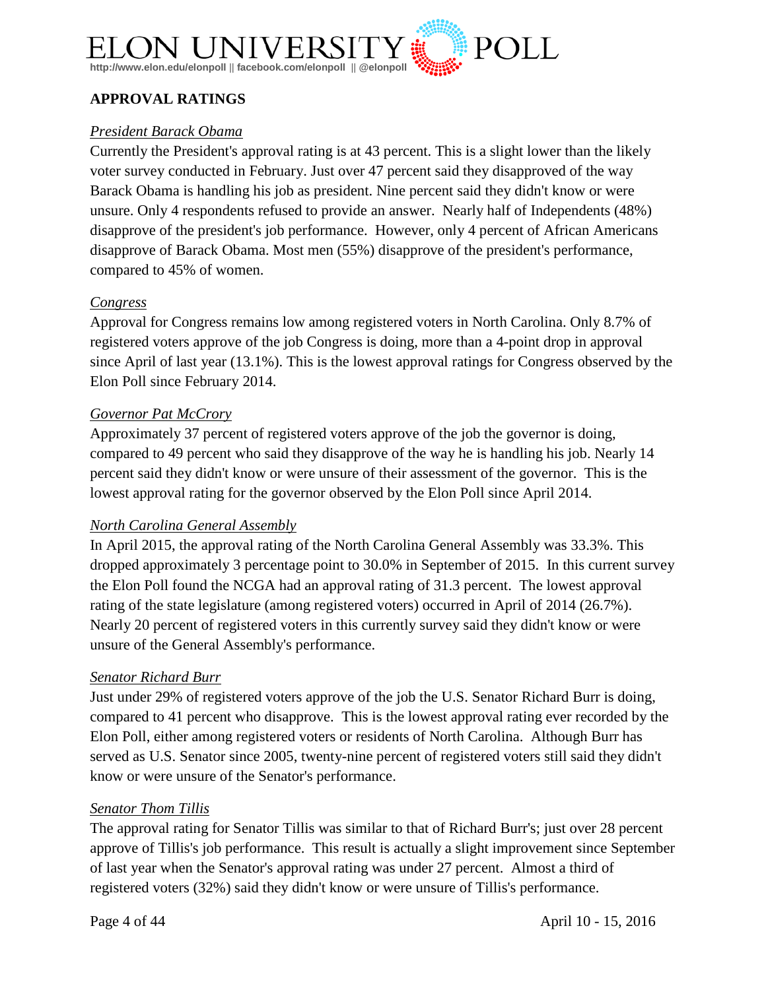

#### **APPROVAL RATINGS**

#### *President Barack Obama*

Currently the President's approval rating is at 43 percent. This is a slight lower than the likely voter survey conducted in February. Just over 47 percent said they disapproved of the way Barack Obama is handling his job as president. Nine percent said they didn't know or were unsure. Only 4 respondents refused to provide an answer. Nearly half of Independents (48%) disapprove of the president's job performance. However, only 4 percent of African Americans disapprove of Barack Obama. Most men (55%) disapprove of the president's performance, compared to 45% of women.

#### *Congress*

Approval for Congress remains low among registered voters in North Carolina. Only 8.7% of registered voters approve of the job Congress is doing, more than a 4-point drop in approval since April of last year (13.1%). This is the lowest approval ratings for Congress observed by the Elon Poll since February 2014.

#### *Governor Pat McCrory*

Approximately 37 percent of registered voters approve of the job the governor is doing, compared to 49 percent who said they disapprove of the way he is handling his job. Nearly 14 percent said they didn't know or were unsure of their assessment of the governor. This is the lowest approval rating for the governor observed by the Elon Poll since April 2014.

#### *North Carolina General Assembly*

In April 2015, the approval rating of the North Carolina General Assembly was 33.3%. This dropped approximately 3 percentage point to 30.0% in September of 2015. In this current survey the Elon Poll found the NCGA had an approval rating of 31.3 percent. The lowest approval rating of the state legislature (among registered voters) occurred in April of 2014 (26.7%). Nearly 20 percent of registered voters in this currently survey said they didn't know or were unsure of the General Assembly's performance.

#### *Senator Richard Burr*

Just under 29% of registered voters approve of the job the U.S. Senator Richard Burr is doing, compared to 41 percent who disapprove. This is the lowest approval rating ever recorded by the Elon Poll, either among registered voters or residents of North Carolina. Although Burr has served as U.S. Senator since 2005, twenty-nine percent of registered voters still said they didn't know or were unsure of the Senator's performance.

#### *Senator Thom Tillis*

The approval rating for Senator Tillis was similar to that of Richard Burr's; just over 28 percent approve of Tillis's job performance. This result is actually a slight improvement since September of last year when the Senator's approval rating was under 27 percent. Almost a third of registered voters (32%) said they didn't know or were unsure of Tillis's performance.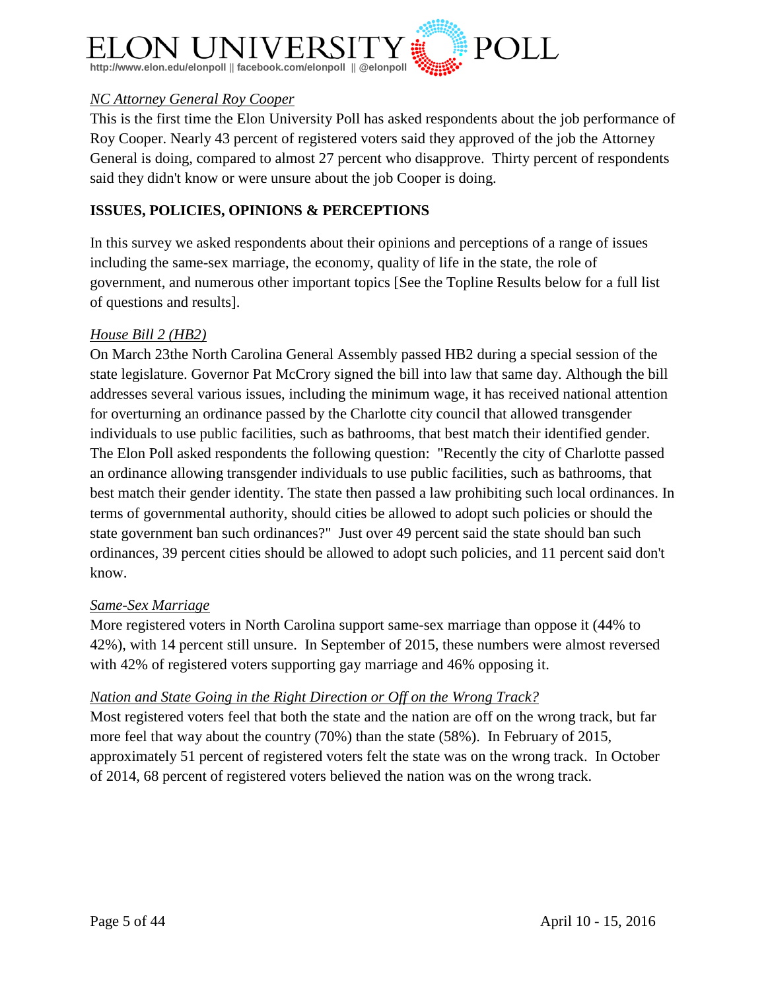

#### *NC Attorney General Roy Cooper*

This is the first time the Elon University Poll has asked respondents about the job performance of Roy Cooper. Nearly 43 percent of registered voters said they approved of the job the Attorney General is doing, compared to almost 27 percent who disapprove. Thirty percent of respondents said they didn't know or were unsure about the job Cooper is doing.

#### **ISSUES, POLICIES, OPINIONS & PERCEPTIONS**

In this survey we asked respondents about their opinions and perceptions of a range of issues including the same-sex marriage, the economy, quality of life in the state, the role of government, and numerous other important topics [See the Topline Results below for a full list of questions and results].

#### *House Bill 2 (HB2)*

On March 23the North Carolina General Assembly passed HB2 during a special session of the state legislature. Governor Pat McCrory signed the bill into law that same day. Although the bill addresses several various issues, including the minimum wage, it has received national attention for overturning an ordinance passed by the Charlotte city council that allowed transgender individuals to use public facilities, such as bathrooms, that best match their identified gender. The Elon Poll asked respondents the following question: "Recently the city of Charlotte passed an ordinance allowing transgender individuals to use public facilities, such as bathrooms, that best match their gender identity. The state then passed a law prohibiting such local ordinances. In terms of governmental authority, should cities be allowed to adopt such policies or should the state government ban such ordinances?" Just over 49 percent said the state should ban such ordinances, 39 percent cities should be allowed to adopt such policies, and 11 percent said don't know.

#### *Same-Sex Marriage*

More registered voters in North Carolina support same-sex marriage than oppose it (44% to 42%), with 14 percent still unsure. In September of 2015, these numbers were almost reversed with 42% of registered voters supporting gay marriage and 46% opposing it.

#### *Nation and State Going in the Right Direction or Off on the Wrong Track?*

Most registered voters feel that both the state and the nation are off on the wrong track, but far more feel that way about the country (70%) than the state (58%). In February of 2015, approximately 51 percent of registered voters felt the state was on the wrong track. In October of 2014, 68 percent of registered voters believed the nation was on the wrong track.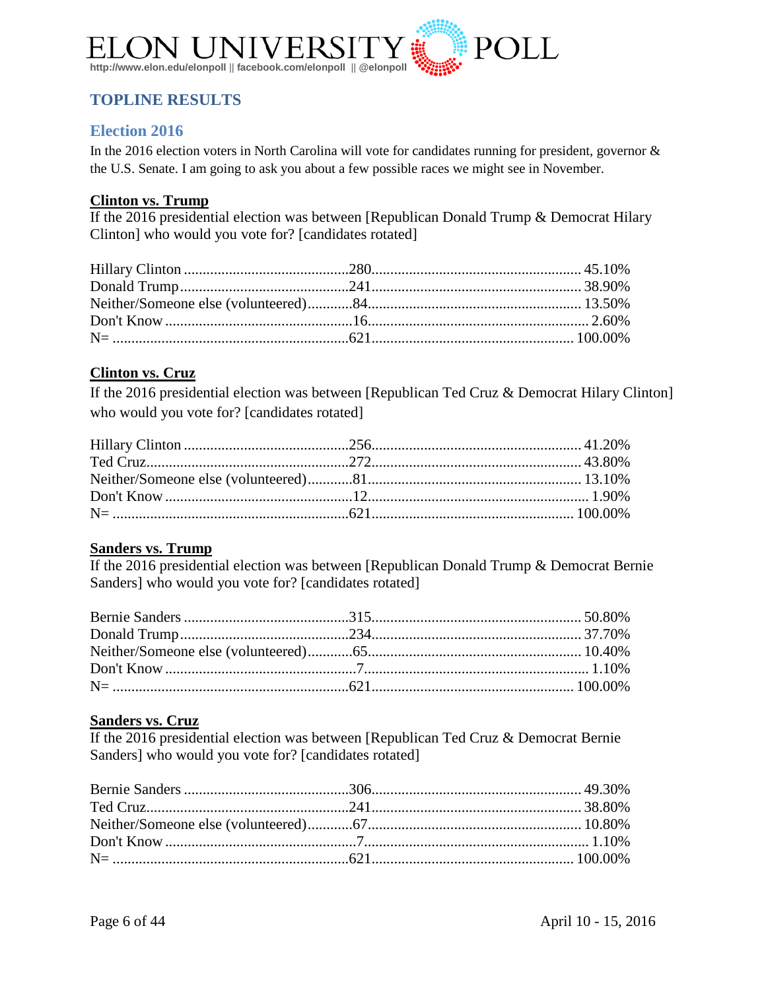

### <span id="page-5-0"></span>**TOPLINE RESULTS**

#### <span id="page-5-1"></span>**Election 2016**

In the 2016 election voters in North Carolina will vote for candidates running for president, governor & the U.S. Senate. I am going to ask you about a few possible races we might see in November.

#### **Clinton vs. Trump**

If the 2016 presidential election was between [Republican Donald Trump & Democrat Hilary Clinton] who would you vote for? [candidates rotated]

#### **Clinton vs. Cruz**

If the 2016 presidential election was between [Republican Ted Cruz & Democrat Hilary Clinton] who would you vote for? [candidates rotated]

#### **Sanders vs. Trump**

If the 2016 presidential election was between [Republican Donald Trump & Democrat Bernie Sanders] who would you vote for? [candidates rotated]

#### **Sanders vs. Cruz**

If the 2016 presidential election was between [Republican Ted Cruz & Democrat Bernie Sanders] who would you vote for? [candidates rotated]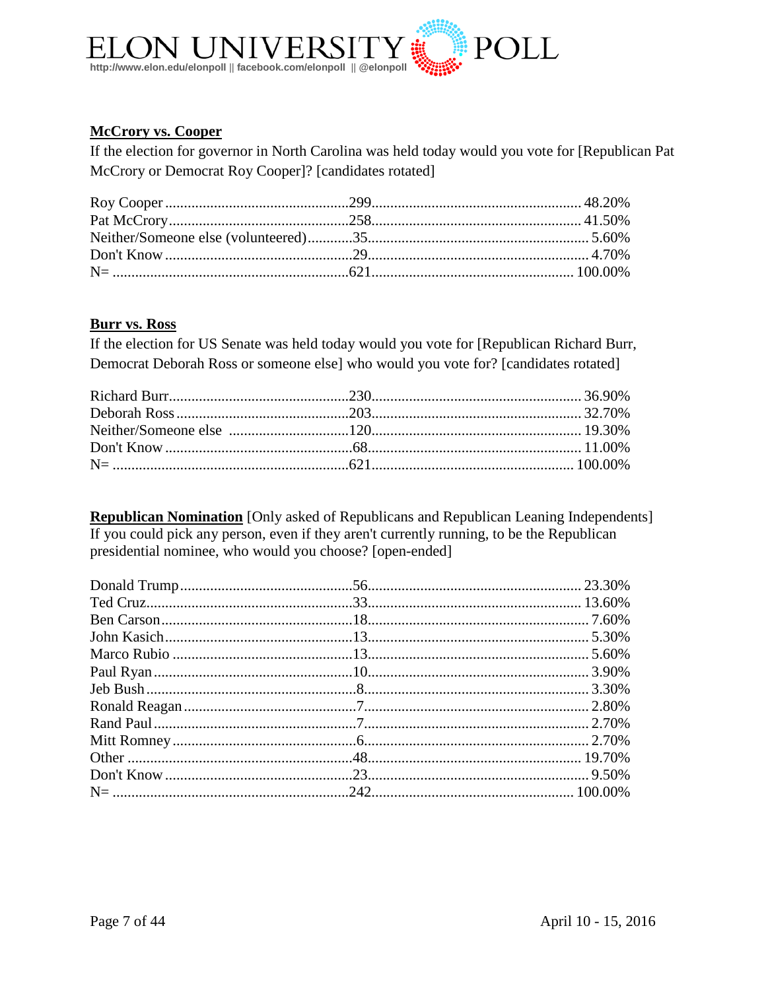

#### **McCrory vs. Cooper**

If the election for governor in North Carolina was held today would you vote for [Republican Pat McCrory or Democrat Roy Cooper]? [candidates rotated]

#### **Burr vs. Ross**

If the election for US Senate was held today would you vote for [Republican Richard Burr, Democrat Deborah Ross or someone else] who would you vote for? [candidates rotated]

**Republican Nomination** [Only asked of Republicans and Republican Leaning Independents] If you could pick any person, even if they aren't currently running, to be the Republican presidential nominee, who would you choose? [open-ended]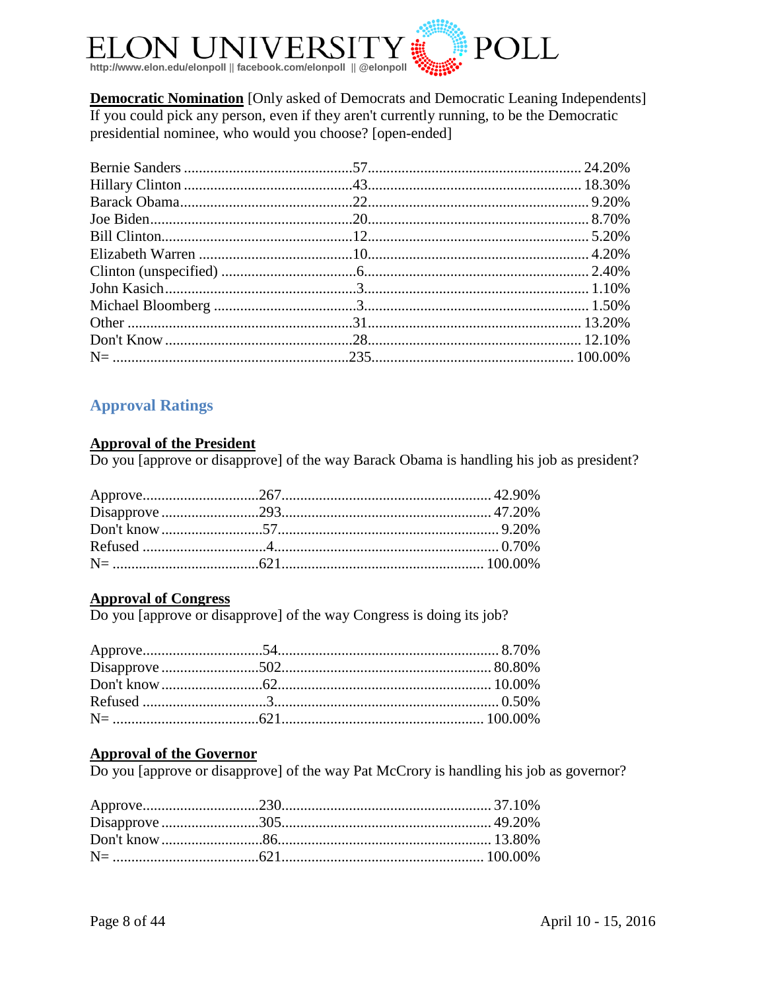

**Democratic Nomination** [Only asked of Democrats and Democratic Leaning Independents] If you could pick any person, even if they aren't currently running, to be the Democratic presidential nominee, who would you choose? [open-ended]

### <span id="page-7-0"></span>**Approval Ratings**

#### **Approval of the President**

Do you [approve or disapprove] of the way Barack Obama is handling his job as president?

#### **Approval of Congress**

Do you [approve or disapprove] of the way Congress is doing its job?

#### **Approval of the Governor**

Do you [approve or disapprove] of the way Pat McCrory is handling his job as governor?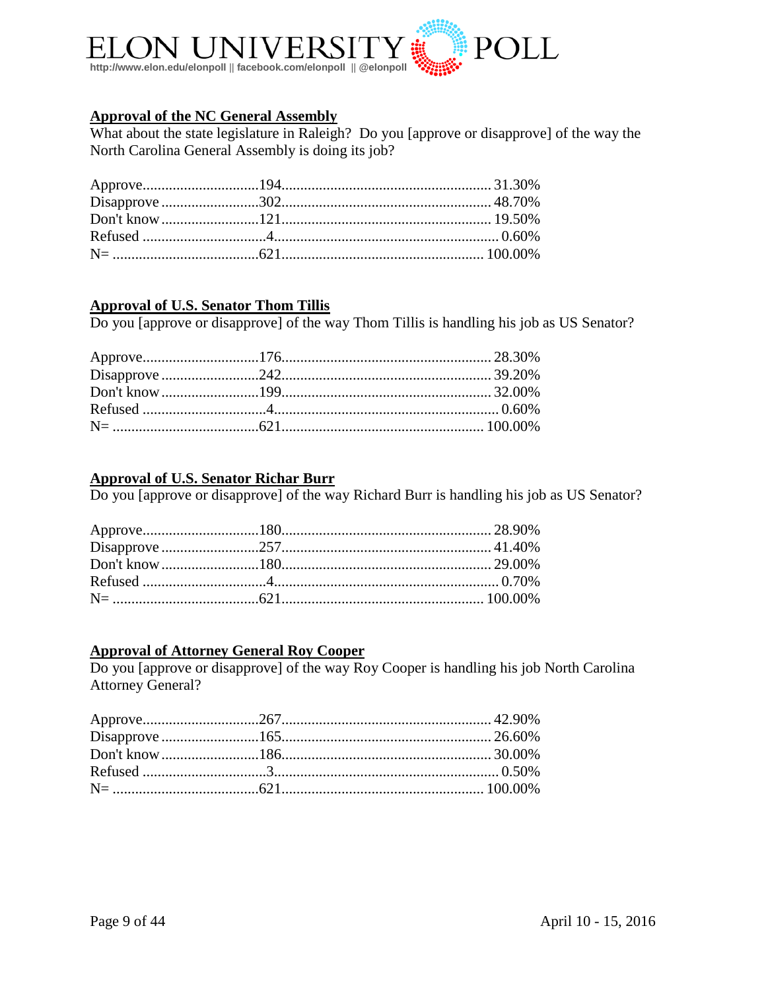

#### **Approval of the NC General Assembly**

What about the state legislature in Raleigh? Do you [approve or disapprove] of the way the North Carolina General Assembly is doing its job?

#### **Approval of U.S. Senator Thom Tillis**

Do you [approve or disapprove] of the way Thom Tillis is handling his job as US Senator?

#### **Approval of U.S. Senator Richar Burr**

Do you [approve or disapprove] of the way Richard Burr is handling his job as US Senator?

#### **Approval of Attorney General Roy Cooper**

Do you [approve or disapprove] of the way Roy Cooper is handling his job North Carolina Attorney General?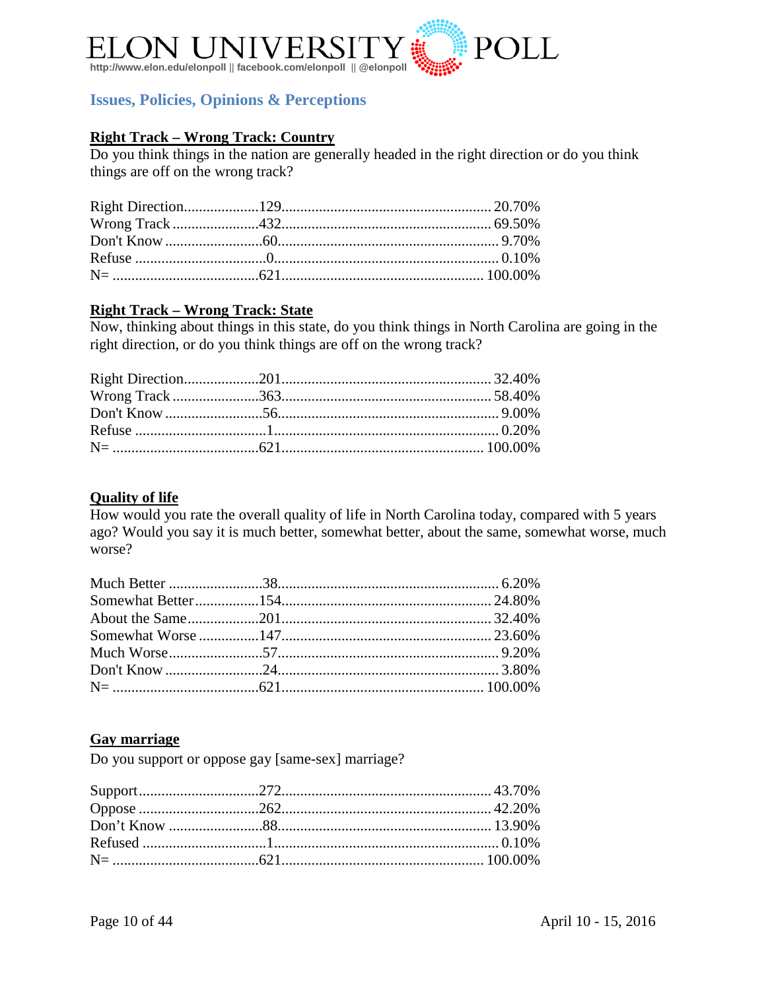

#### <span id="page-9-0"></span>**Issues, Policies, Opinions & Perceptions**

#### **Right Track – Wrong Track: Country**

Do you think things in the nation are generally headed in the right direction or do you think things are off on the wrong track?

#### **Right Track – Wrong Track: State**

Now, thinking about things in this state, do you think things in North Carolina are going in the right direction, or do you think things are off on the wrong track?

#### **Quality of life**

How would you rate the overall quality of life in North Carolina today, compared with 5 years ago? Would you say it is much better, somewhat better, about the same, somewhat worse, much worse?

#### **Gay marriage**

Do you support or oppose gay [same-sex] marriage?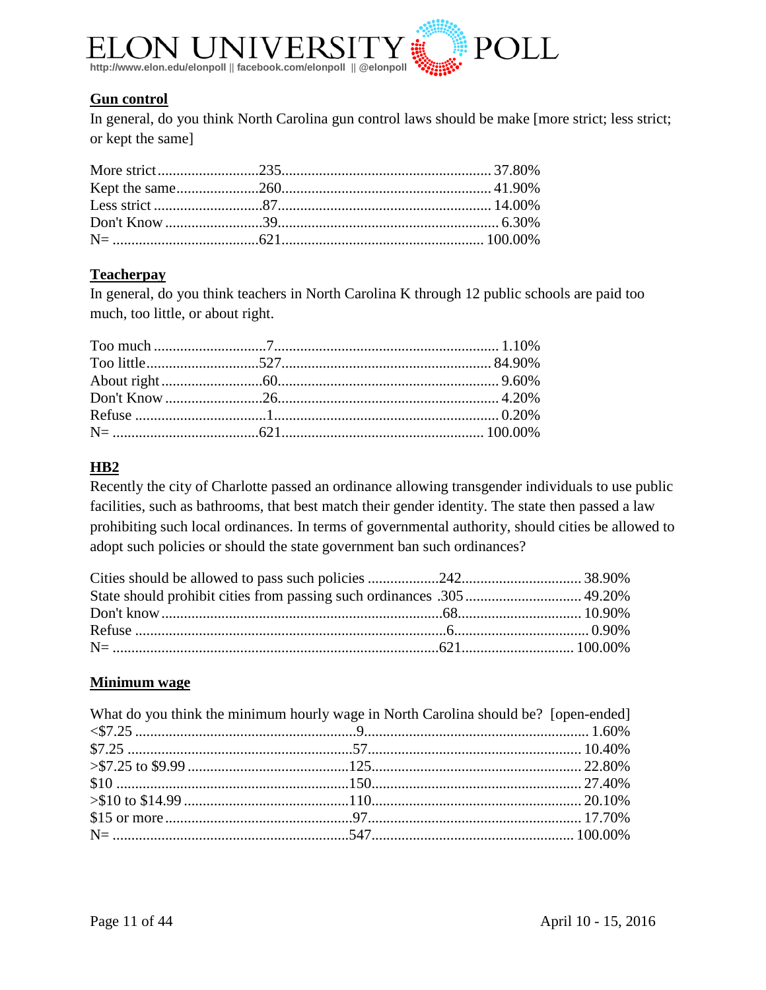

#### **Gun control**

In general, do you think North Carolina gun control laws should be make [more strict; less strict; or kept the same]

#### **Teacherpay**

In general, do you think teachers in North Carolina K through 12 public schools are paid too much, too little, or about right.

#### **HB2**

Recently the city of Charlotte passed an ordinance allowing transgender individuals to use public facilities, such as bathrooms, that best match their gender identity. The state then passed a law prohibiting such local ordinances. In terms of governmental authority, should cities be allowed to adopt such policies or should the state government ban such ordinances?

#### **Minimum wage**

| What do you think the minimum hourly wage in North Carolina should be? [open-ended] |  |
|-------------------------------------------------------------------------------------|--|
|                                                                                     |  |
|                                                                                     |  |
|                                                                                     |  |
|                                                                                     |  |
|                                                                                     |  |
|                                                                                     |  |
|                                                                                     |  |
|                                                                                     |  |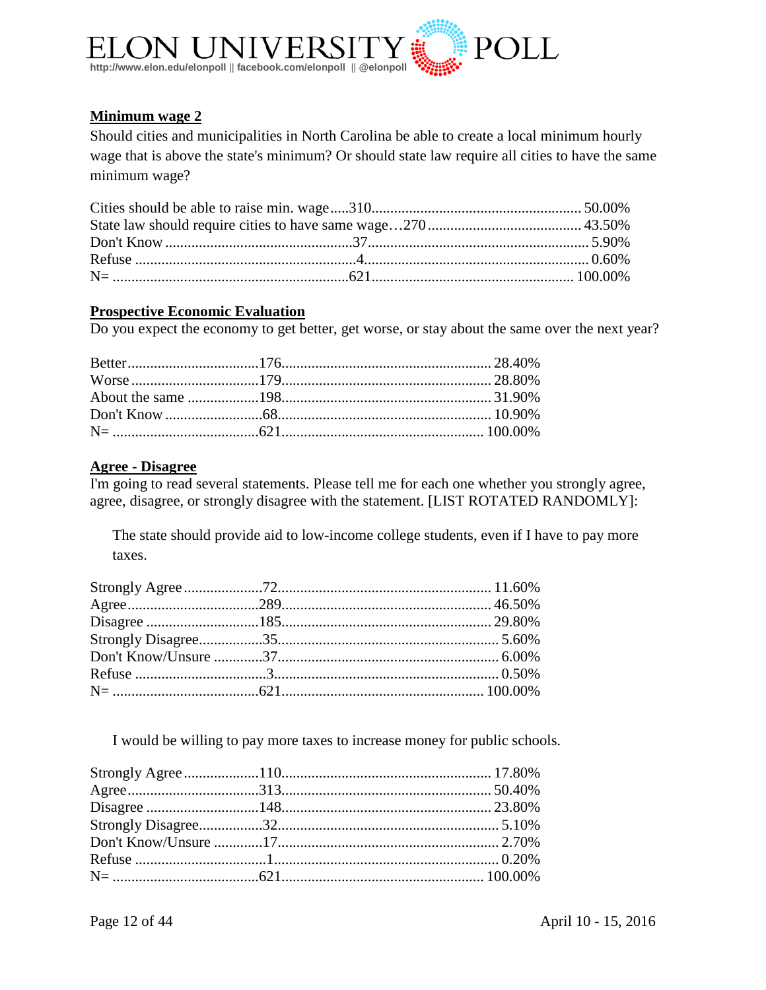

#### **Minimum wage 2**

Should cities and municipalities in North Carolina be able to create a local minimum hourly wage that is above the state's minimum? Or should state law require all cities to have the same minimum wage?

#### **Prospective Economic Evaluation**

Do you expect the economy to get better, get worse, or stay about the same over the next year?

### **Agree - Disagree**

I'm going to read several statements. Please tell me for each one whether you strongly agree, agree, disagree, or strongly disagree with the statement. [LIST ROTATED RANDOMLY]:

The state should provide aid to low-income college students, even if I have to pay more taxes.

I would be willing to pay more taxes to increase money for public schools.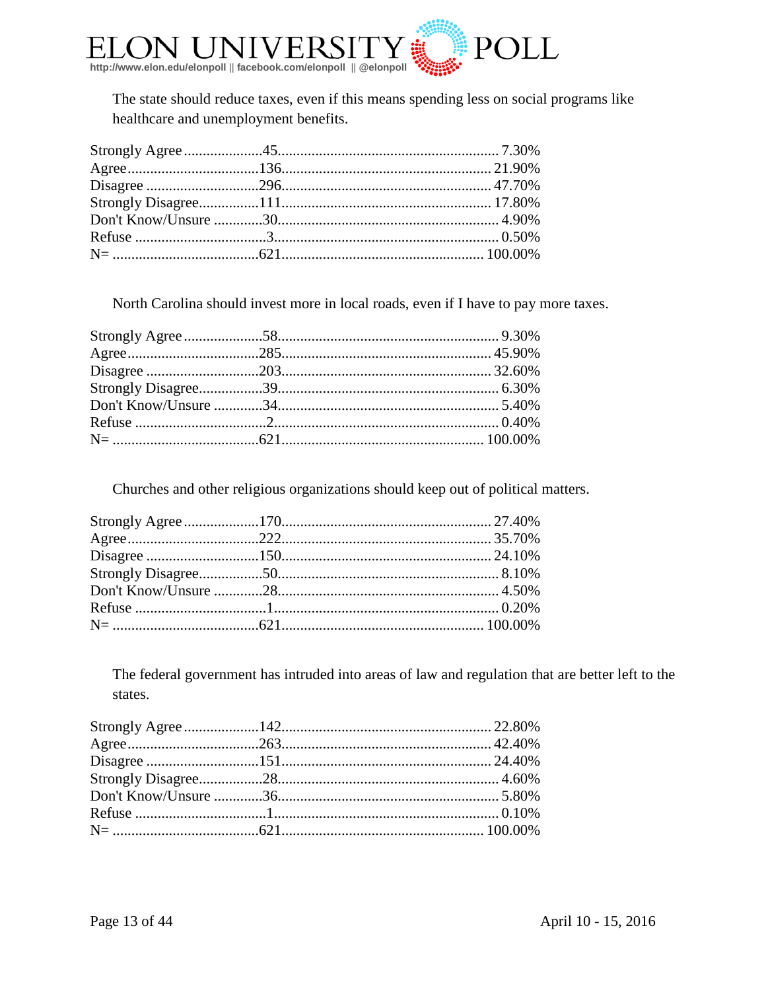

The state should reduce taxes, even if this means spending less on social programs like healthcare and unemployment benefits.

North Carolina should invest more in local roads, even if I have to pay more taxes.

Churches and other religious organizations should keep out of political matters.

The federal government has intruded into areas of law and regulation that are better left to the states.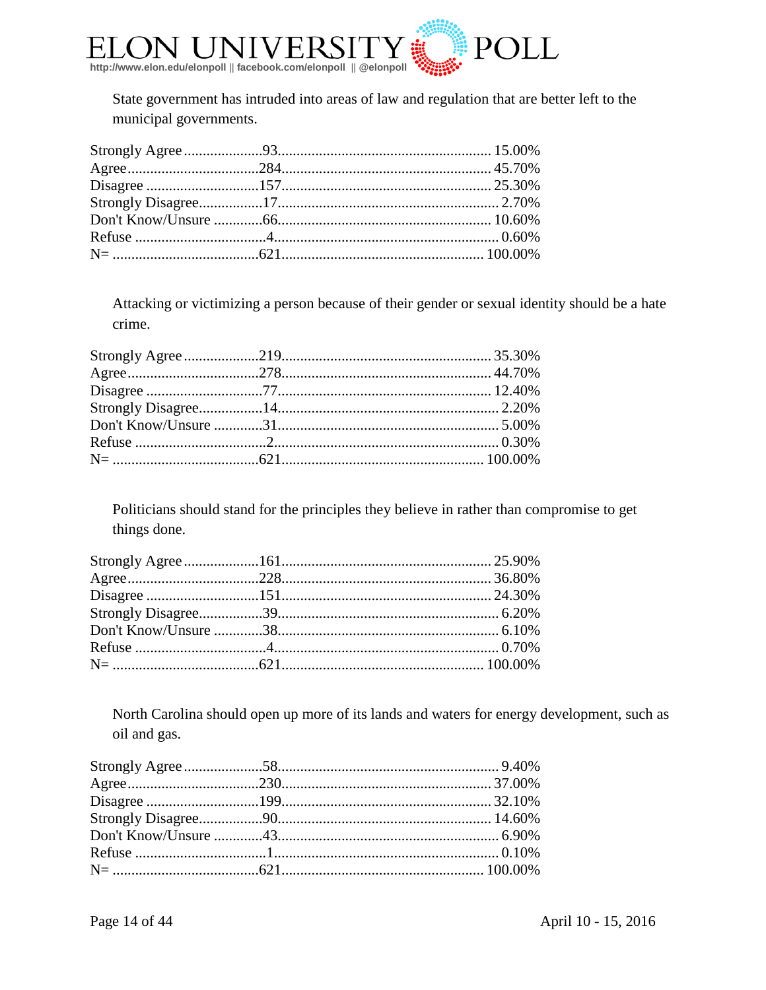

State government has intruded into areas of law and regulation that are better left to the municipal governments.

Attacking or victimizing a person because of their gender or sexual identity should be a hate crime.

Politicians should stand for the principles they believe in rather than compromise to get things done.

North Carolina should open up more of its lands and waters for energy development, such as oil and gas.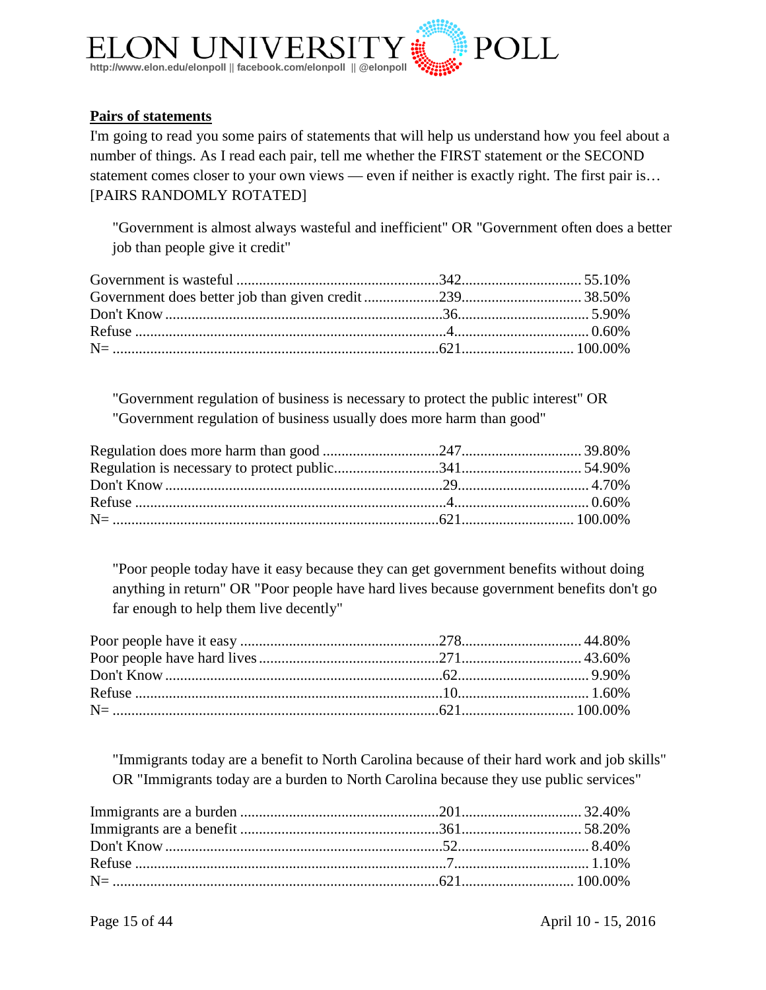

#### **Pairs of statements**

I'm going to read you some pairs of statements that will help us understand how you feel about a number of things. As I read each pair, tell me whether the FIRST statement or the SECOND statement comes closer to your own views — even if neither is exactly right. The first pair is... [PAIRS RANDOMLY ROTATED]

"Government is almost always wasteful and inefficient" OR "Government often does a better job than people give it credit"

"Government regulation of business is necessary to protect the public interest" OR "Government regulation of business usually does more harm than good"

"Poor people today have it easy because they can get government benefits without doing anything in return" OR "Poor people have hard lives because government benefits don't go far enough to help them live decently"

"Immigrants today are a benefit to North Carolina because of their hard work and job skills" OR "Immigrants today are a burden to North Carolina because they use public services"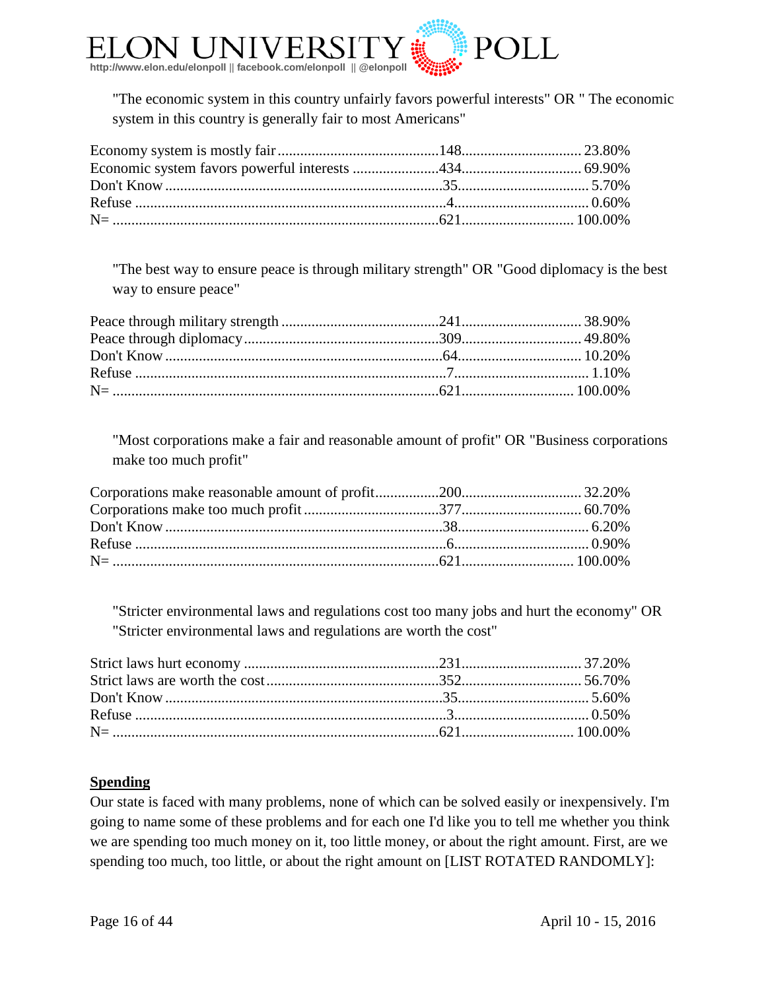

"The economic system in this country unfairly favors powerful interests" OR " The economic system in this country is generally fair to most Americans"

"The best way to ensure peace is through military strength" OR "Good diplomacy is the best way to ensure peace"

"Most corporations make a fair and reasonable amount of profit" OR "Business corporations make too much profit"

"Stricter environmental laws and regulations cost too many jobs and hurt the economy" OR "Stricter environmental laws and regulations are worth the cost"

#### **Spending**

Our state is faced with many problems, none of which can be solved easily or inexpensively. I'm going to name some of these problems and for each one I'd like you to tell me whether you think we are spending too much money on it, too little money, or about the right amount. First, are we spending too much, too little, or about the right amount on [LIST ROTATED RANDOMLY]: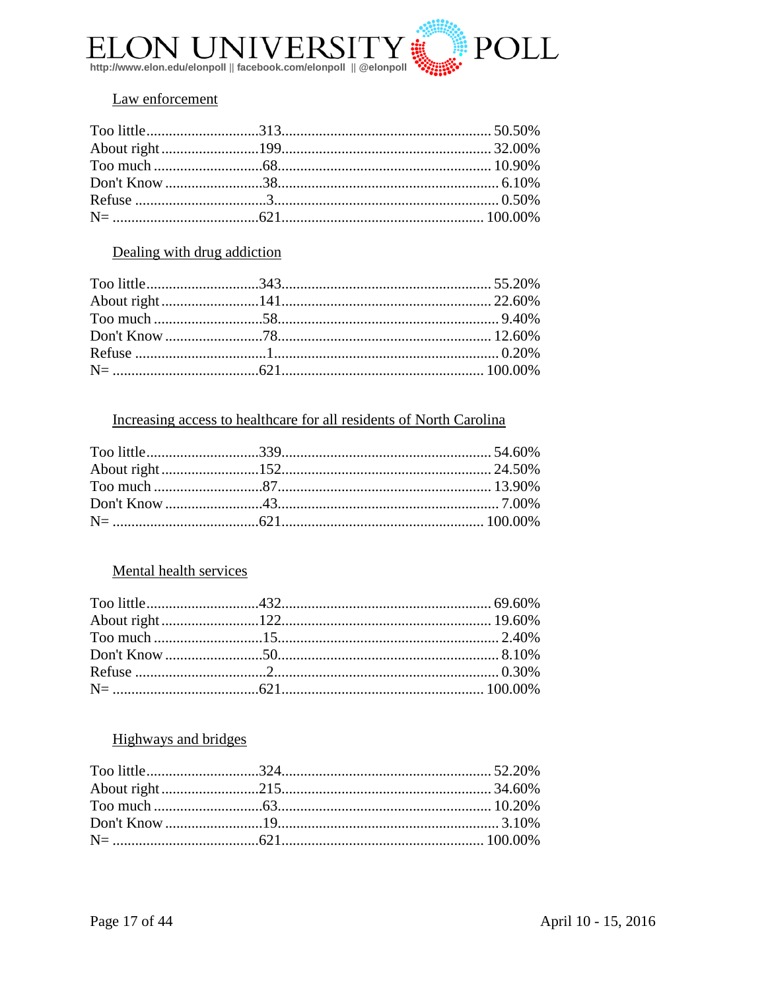

#### Law enforcement

#### Dealing with drug addiction

#### Increasing access to healthcare for all residents of North Carolina

#### Mental health services

#### **Highways and bridges**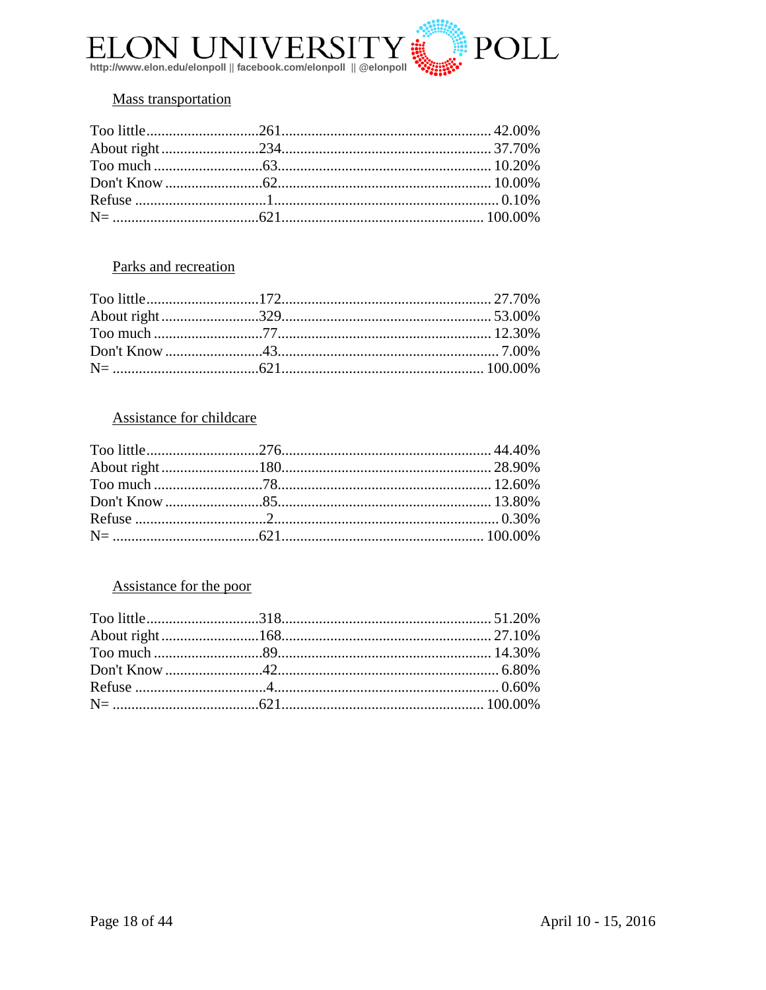

#### **Mass transportation**

#### Parks and recreation

#### **Assistance for childcare**

#### Assistance for the poor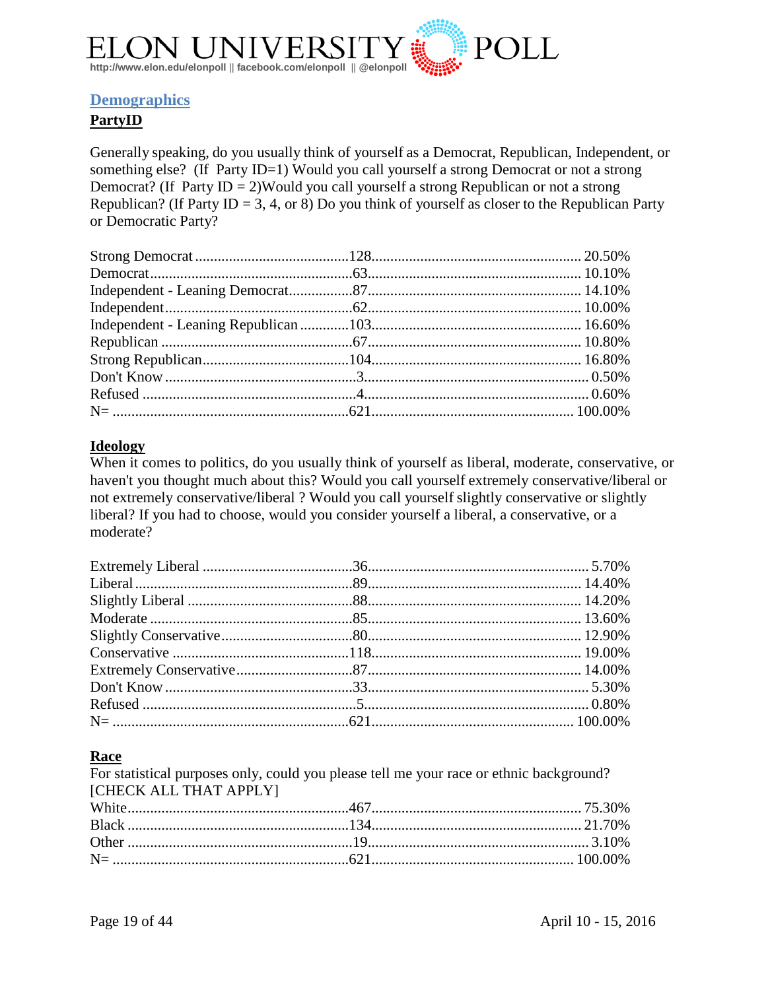

#### <span id="page-18-0"></span>**Demographics**

#### **PartyID**

Generally speaking, do you usually think of yourself as a Democrat, Republican, Independent, or something else? (If Party ID=1) Would you call yourself a strong Democrat or not a strong Democrat? (If Party ID = 2)Would you call yourself a strong Republican or not a strong Republican? (If Party ID = 3, 4, or 8) Do you think of yourself as closer to the Republican Party or Democratic Party?

#### **Ideology**

When it comes to politics, do you usually think of yourself as liberal, moderate, conservative, or haven't you thought much about this? Would you call yourself extremely conservative/liberal or not extremely conservative/liberal ? Would you call yourself slightly conservative or slightly liberal? If you had to choose, would you consider yourself a liberal, a conservative, or a moderate?

#### **Race**

For statistical purposes only, could you please tell me your race or ethnic background? [CHECK ALL THAT APPLY]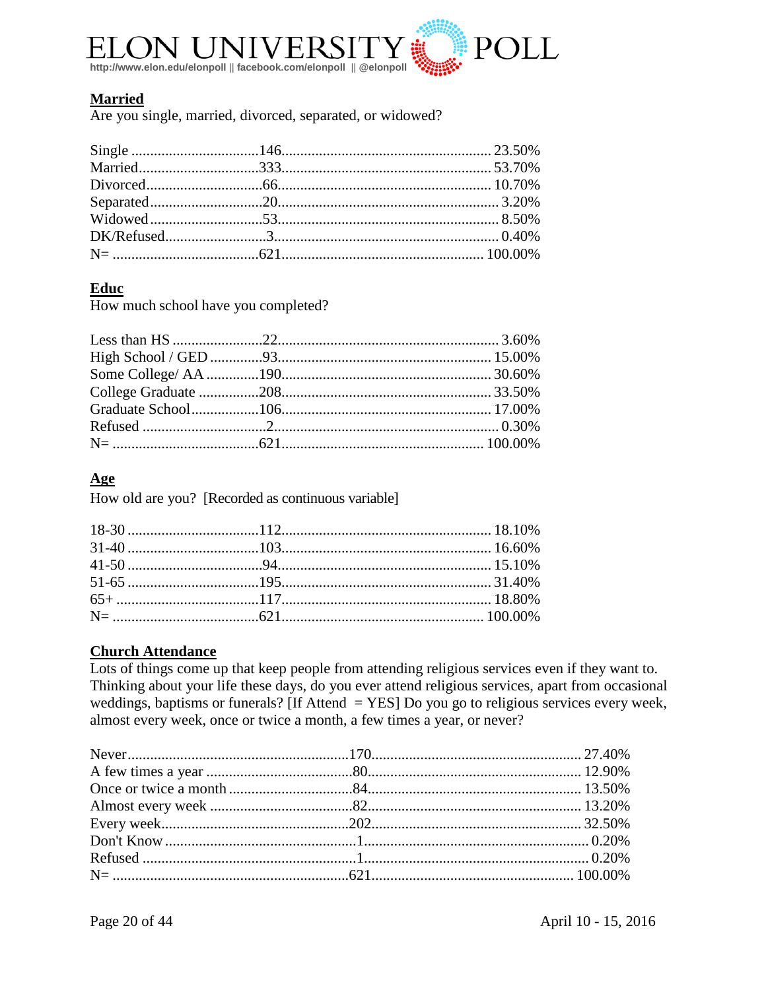

#### **Married**

Are you single, married, divorced, separated, or widowed?

#### Educ

How much school have you completed?

#### $\mathbf{Age}$

How old are you? [Recorded as continuous variable]

### **Church Attendance**

Lots of things come up that keep people from attending religious services even if they want to. Thinking about your life these days, do you ever attend religious services, apart from occasional weddings, baptisms or funerals? [If Attend  $=$  YES] Do you go to religious services every week, almost every week, once or twice a month, a few times a year, or never?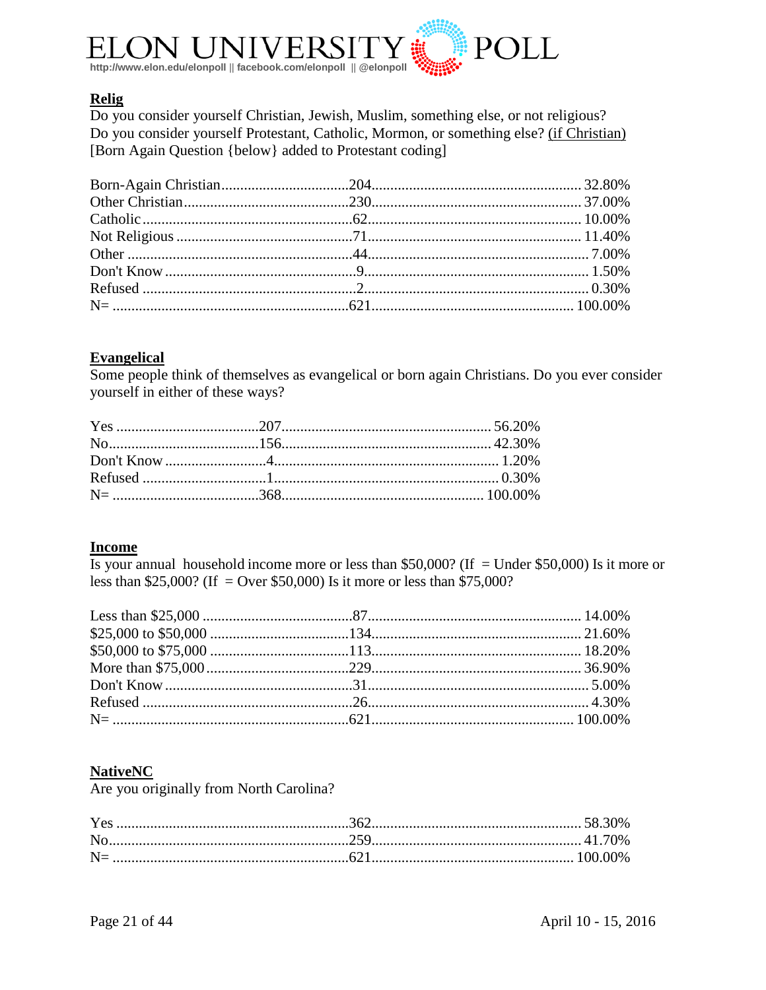

#### **Relig**

Do you consider yourself Christian, Jewish, Muslim, something else, or not religious? Do you consider yourself Protestant, Catholic, Mormon, or something else? (if Christian) [Born Again Question {below} added to Protestant coding]

#### **Evangelical**

Some people think of themselves as evangelical or born again Christians. Do you ever consider yourself in either of these ways?

#### **Income**

Is your annual household income more or less than \$50,000? (If = Under \$50,000) Is it more or less than \$25,000? (If = Over \$50,000) Is it more or less than \$75,000?

#### **NativeNC**

Are you originally from North Carolina?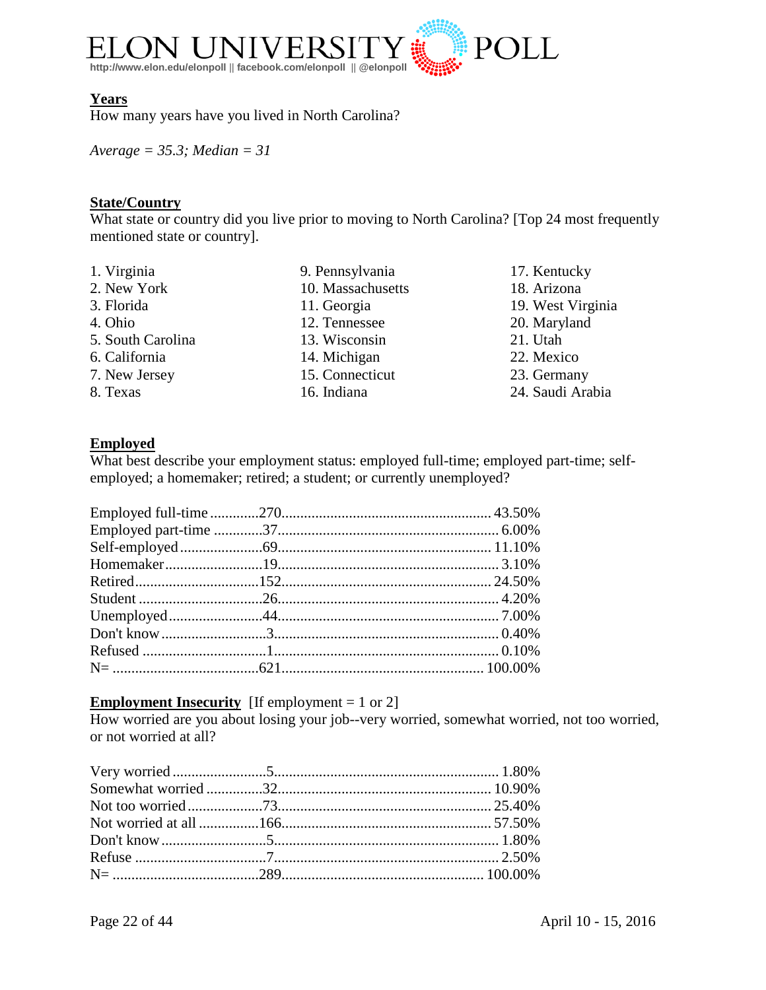

#### **Years**

How many years have you lived in North Carolina?

*Average = 35.3; Median = 31*

### **State/Country**

What state or country did you live prior to moving to North Carolina? [Top 24 most frequently mentioned state or country].

| 1. Virginia       | 9. Pennsylvania   | 17. Kentucky      |
|-------------------|-------------------|-------------------|
| 2. New York       | 10. Massachusetts | 18. Arizona       |
| 3. Florida        | 11. Georgia       | 19. West Virginia |
| 4. Ohio           | 12. Tennessee     | 20. Maryland      |
| 5. South Carolina | 13. Wisconsin     | 21. Utah          |
| 6. California     | 14. Michigan      | 22. Mexico        |
| 7. New Jersey     | 15. Connecticut   | 23. Germany       |
| 8. Texas          | 16. Indiana       | 24. Saudi Arabia  |

#### **Employed**

What best describe your employment status: employed full-time; employed part-time; selfemployed; a homemaker; retired; a student; or currently unemployed?

#### **Employment Insecurity** [If employment = 1 or 2]

How worried are you about losing your job--very worried, somewhat worried, not too worried, or not worried at all?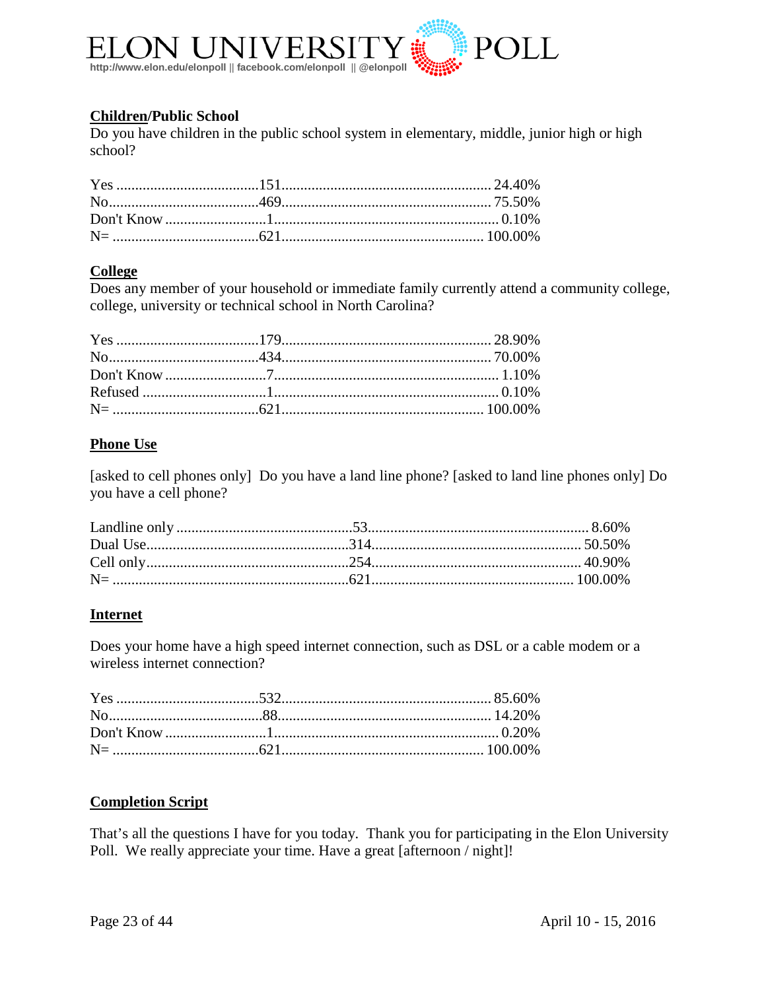

#### **Children/Public School**

Do you have children in the public school system in elementary, middle, junior high or high school?

#### **College**

Does any member of your household or immediate family currently attend a community college, college, university or technical school in North Carolina?

#### **Phone Use**

[asked to cell phones only] Do you have a land line phone? [asked to land line phones only] Do you have a cell phone?

#### **Internet**

Does your home have a high speed internet connection, such as DSL or a cable modem or a wireless internet connection?

#### **Completion Script**

That's all the questions I have for you today. Thank you for participating in the Elon University Poll. We really appreciate your time. Have a great [afternoon / night]!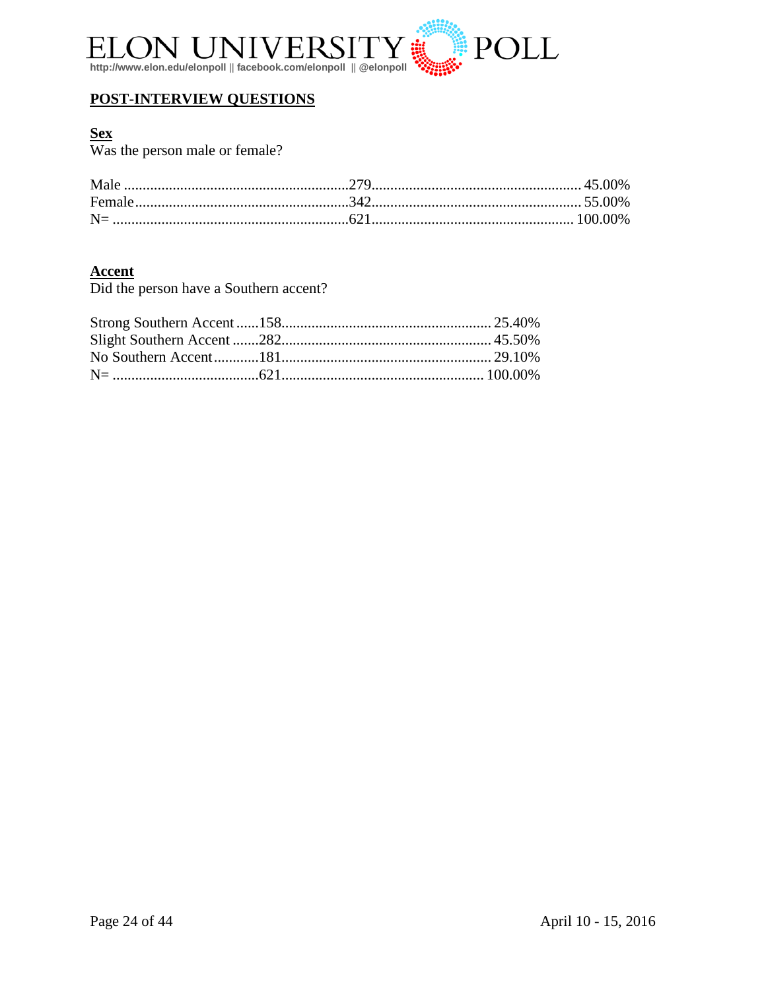

#### **POST-INTERVIEW QUESTIONS**

Sex<br>Was the person male or female?

Accent<br>Did the person have a Southern accent?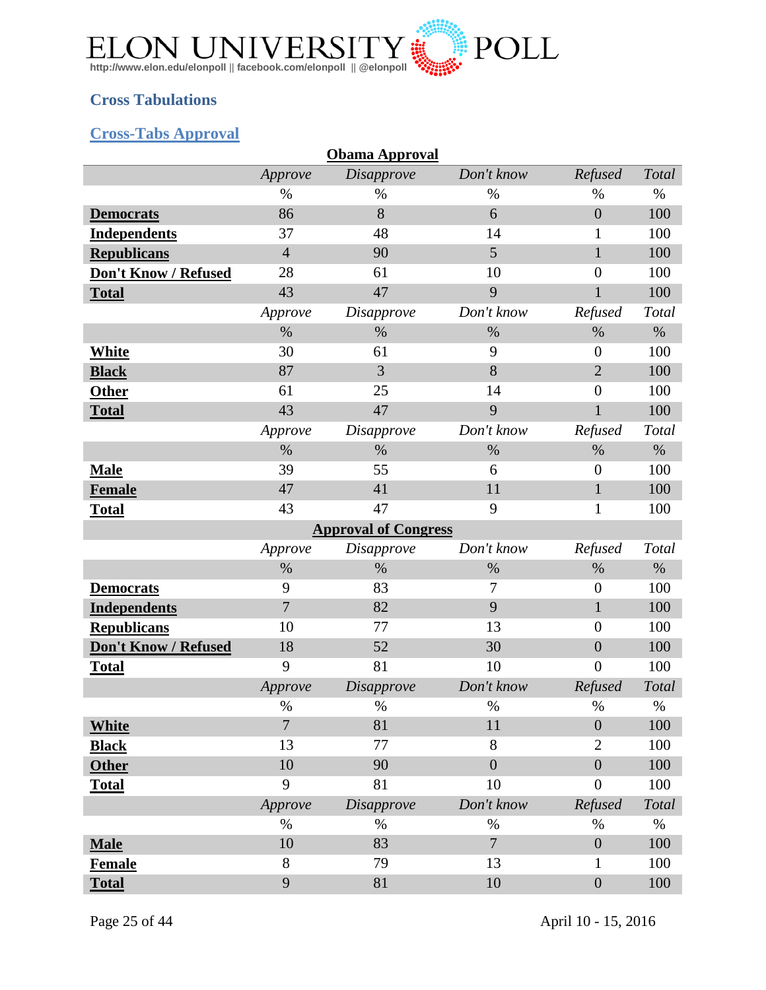

### <span id="page-24-0"></span>**Cross Tabulations**

### <span id="page-24-1"></span>**Cross-Tabs Approval**

|                      |                | <b>Obama Approval</b>       |                |                  |       |
|----------------------|----------------|-----------------------------|----------------|------------------|-------|
|                      | Approve        | Disapprove                  | Don't know     | Refused          | Total |
|                      | $\%$           | $\%$                        | $\%$           | $\%$             | $\%$  |
| <b>Democrats</b>     | 86             | 8                           | 6              | $\overline{0}$   | 100   |
| <b>Independents</b>  | 37             | 48                          | 14             | 1                | 100   |
| <b>Republicans</b>   | $\overline{4}$ | 90                          | 5              | $\mathbf{1}$     | 100   |
| Don't Know / Refused | 28             | 61                          | 10             | $\overline{0}$   | 100   |
| <b>Total</b>         | 43             | 47                          | 9              | 1                | 100   |
|                      | Approve        | <i>Disapprove</i>           | Don't know     | Refused          | Total |
|                      | $\%$           | $\%$                        | $\%$           | $\%$             | $\%$  |
| <b>White</b>         | 30             | 61                          | 9              | $\theta$         | 100   |
| <b>Black</b>         | 87             | 3                           | 8              | $\overline{2}$   | 100   |
| <b>Other</b>         | 61             | 25                          | 14             | $\boldsymbol{0}$ | 100   |
| <b>Total</b>         | 43             | 47                          | 9              | $\mathbf{1}$     | 100   |
|                      | Approve        | <i>Disapprove</i>           | Don't know     | Refused          | Total |
|                      | $\%$           | $\%$                        | $\%$           | $\%$             | $\%$  |
| <b>Male</b>          | 39             | 55                          | 6              | $\overline{0}$   | 100   |
| <b>Female</b>        | 47             | 41                          | 11             | 1                | 100   |
| <b>Total</b>         | 43             | 47                          | 9              | 1                | 100   |
|                      |                | <b>Approval of Congress</b> |                |                  |       |
|                      | Approve        | <i>Disapprove</i>           | Don't know     | Refused          | Total |
|                      | $\%$           | $\%$                        | $\%$           | $\%$             | $\%$  |
| <b>Democrats</b>     | 9              | 83                          | 7              | $\mathbf{0}$     | 100   |
| <b>Independents</b>  | 7              | 82                          | 9              | $\mathbf{1}$     | 100   |
| <b>Republicans</b>   | 10             | 77                          | 13             | $\boldsymbol{0}$ | 100   |
| Don't Know / Refused | 18             | 52                          | 30             | $\boldsymbol{0}$ | 100   |
| <b>Total</b>         | 9              | 81                          | 10             | $\overline{0}$   | 100   |
|                      | Approve        | Disapprove                  | Don't know     | Refused          | Total |
|                      | $\%$           | $\%$                        | $\%$           | $\%$             | $\%$  |
| <b>White</b>         | $\overline{7}$ | 81                          | 11             | $\boldsymbol{0}$ | 100   |
| <b>Black</b>         | 13             | 77                          | 8              | $\overline{2}$   | 100   |
| <b>Other</b>         | 10             | 90                          | $\overline{0}$ | $\boldsymbol{0}$ | 100   |
| <b>Total</b>         | 9              | 81                          | 10             | $\boldsymbol{0}$ | 100   |
|                      | Approve        | <b>Disapprove</b>           | Don't know     | Refused          | Total |
|                      | $\%$           | %                           | $\%$           | $\%$             | $\%$  |
| <b>Male</b>          | 10             | 83                          | $\overline{7}$ | $\boldsymbol{0}$ | 100   |
| <b>Female</b>        | 8              | 79                          | 13             | 1                | 100   |
|                      | 9              |                             |                |                  |       |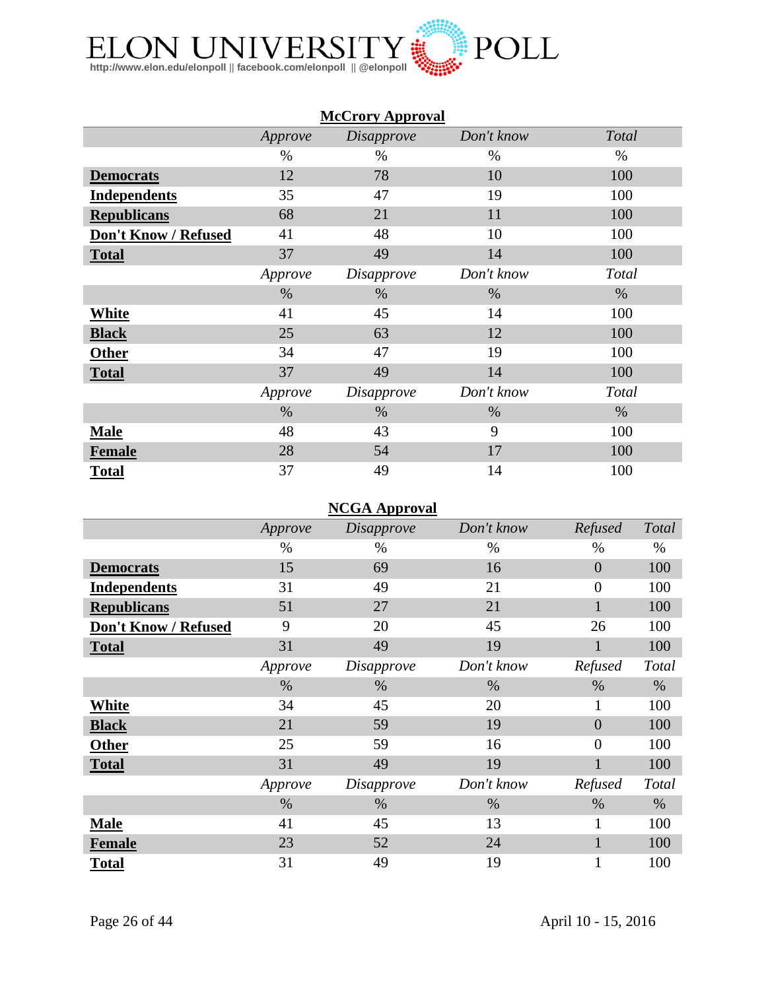

|                      |         | <b>McCrory Approval</b> |            |       |
|----------------------|---------|-------------------------|------------|-------|
|                      | Approve | <i>Disapprove</i>       | Don't know | Total |
|                      | %       | %                       | $\%$       | $\%$  |
| <b>Democrats</b>     | 12      | 78                      | 10         | 100   |
| <b>Independents</b>  | 35      | 47                      | 19         | 100   |
| <b>Republicans</b>   | 68      | 21                      | 11         | 100   |
| Don't Know / Refused | 41      | 48                      | 10         | 100   |
| <b>Total</b>         | 37      | 49                      | 14         | 100   |
|                      | Approve | <i>Disapprove</i>       | Don't know | Total |
|                      | $\%$    | %                       | $\%$       | $\%$  |
| <b>White</b>         | 41      | 45                      | 14         | 100   |
| <b>Black</b>         | 25      | 63                      | 12         | 100   |
| <b>Other</b>         | 34      | 47                      | 19         | 100   |
| <b>Total</b>         | 37      | 49                      | 14         | 100   |
|                      | Approve | <i>Disapprove</i>       | Don't know | Total |
|                      | $\%$    | $\%$                    | $\%$       | $\%$  |
| <b>Male</b>          | 48      | 43                      | 9          | 100   |
| <b>Female</b>        | 28      | 54                      | 17         | 100   |
| <b>Total</b>         | 37      | 49                      | 14         | 100   |

### **NCGA Approval**

|                      | Approve | <i>Disapprove</i> | Don't know | Refused        | Total |
|----------------------|---------|-------------------|------------|----------------|-------|
|                      | $\%$    | $\%$              | $\%$       | $\%$           | $\%$  |
| <b>Democrats</b>     | 15      | 69                | 16         | $\overline{0}$ | 100   |
| <b>Independents</b>  | 31      | 49                | 21         | $\overline{0}$ | 100   |
| <b>Republicans</b>   | 51      | 27                | 21         | 1              | 100   |
| Don't Know / Refused | 9       | 20                | 45         | 26             | 100   |
| <b>Total</b>         | 31      | 49                | 19         |                | 100   |
|                      | Approve | <i>Disapprove</i> | Don't know | Refused        | Total |
|                      | $\%$    | $\%$              | $\%$       | $\%$           | $\%$  |
| White                | 34      | 45                | 20         | 1              | 100   |
| <b>Black</b>         | 21      | 59                | 19         | $\overline{0}$ | 100   |
| <b>Other</b>         | 25      | 59                | 16         | $\overline{0}$ | 100   |
| <b>Total</b>         | 31      | 49                | 19         |                | 100   |
|                      | Approve | Disapprove        | Don't know | Refused        | Total |
|                      | $\%$    | $\%$              | $\%$       | $\%$           | $\%$  |
| <b>Male</b>          | 41      | 45                | 13         | $\mathbf{1}$   | 100   |
| <b>Female</b>        | 23      | 52                | 24         |                | 100   |
| <b>Total</b>         | 31      | 49                | 19         |                | 100   |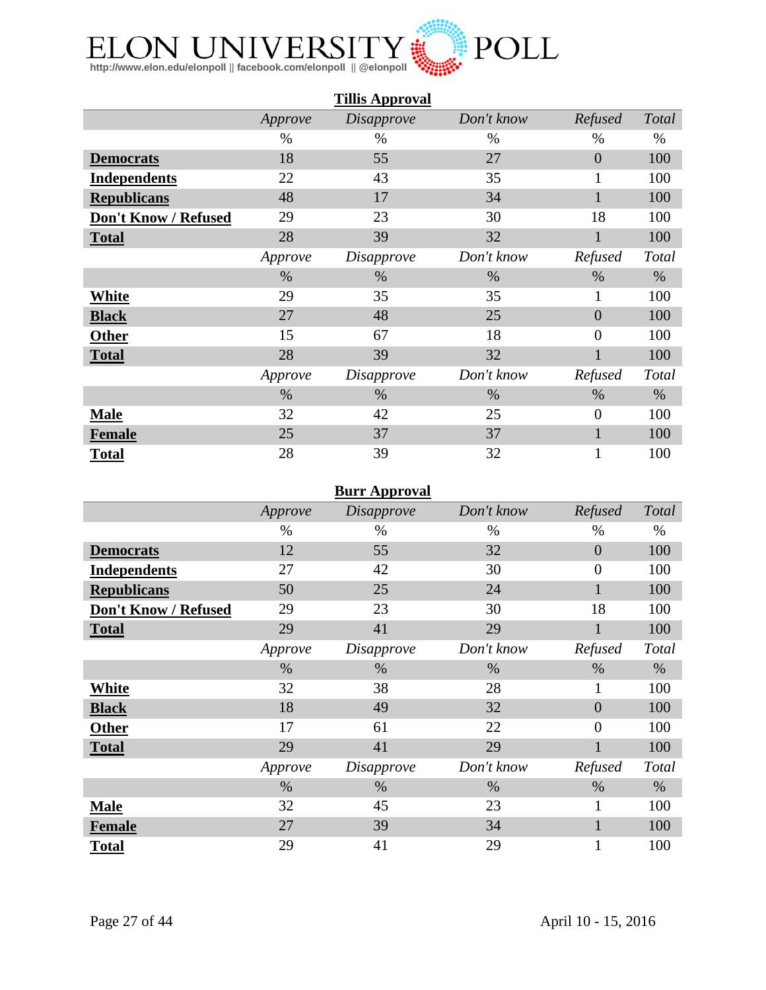

|                      |         | <b>Tillis Approval</b> |            |                |       |
|----------------------|---------|------------------------|------------|----------------|-------|
|                      | Approve | <b>Disapprove</b>      | Don't know | Refused        | Total |
|                      | $\%$    | $\%$                   | $\%$       | %              | $\%$  |
| <b>Democrats</b>     | 18      | 55                     | 27         | $\overline{0}$ | 100   |
| <b>Independents</b>  | 22      | 43                     | 35         | $\mathbf{1}$   | 100   |
| <b>Republicans</b>   | 48      | 17                     | 34         | $\mathbf{1}$   | 100   |
| Don't Know / Refused | 29      | 23                     | 30         | 18             | 100   |
| <b>Total</b>         | 28      | 39                     | 32         | $\mathbf{1}$   | 100   |
|                      | Approve | <i>Disapprove</i>      | Don't know | Refused        | Total |
|                      | $\%$    | $\%$                   | $\%$       | $\%$           | $\%$  |
| <b>White</b>         | 29      | 35                     | 35         | $\mathbf{1}$   | 100   |
| <b>Black</b>         | 27      | 48                     | 25         | $\overline{0}$ | 100   |
| <b>Other</b>         | 15      | 67                     | 18         | $\overline{0}$ | 100   |
| <b>Total</b>         | 28      | 39                     | 32         |                | 100   |
|                      | Approve | <i>Disapprove</i>      | Don't know | Refused        | Total |
|                      | $\%$    | $\%$                   | $\%$       | $\%$           | $\%$  |
| <b>Male</b>          | 32      | 42                     | 25         | $\overline{0}$ | 100   |
| <b>Female</b>        | 25      | 37                     | 37         | $\mathbf{1}$   | 100   |
| <b>Total</b>         | 28      | 39                     | 32         | 1              | 100   |

#### **Burr Approval**

|                      | Approve | <b>Disapprove</b> | Don't know | Refused        | Total |
|----------------------|---------|-------------------|------------|----------------|-------|
|                      | $\%$    | %                 | $\%$       | $\%$           | $\%$  |
| <b>Democrats</b>     | 12      | 55                | 32         | $\overline{0}$ | 100   |
| <b>Independents</b>  | 27      | 42                | 30         | $\overline{0}$ | 100   |
| <b>Republicans</b>   | 50      | 25                | 24         |                | 100   |
| Don't Know / Refused | 29      | 23                | 30         | 18             | 100   |
| <b>Total</b>         | 29      | 41                | 29         |                | 100   |
|                      | Approve | <i>Disapprove</i> | Don't know | Refused        | Total |
|                      | $\%$    | %                 | $\%$       | $\%$           | $\%$  |
| White                | 32      | 38                | 28         | 1              | 100   |
| <b>Black</b>         | 18      | 49                | 32         | $\overline{0}$ | 100   |
| <b>Other</b>         | 17      | 61                | 22         | $\overline{0}$ | 100   |
| <b>Total</b>         | 29      | 41                | 29         |                | 100   |
|                      | Approve | Disapprove        | Don't know | Refused        | Total |
|                      | $\%$    | $\%$              | $\%$       | $\%$           | $\%$  |
| <b>Male</b>          | 32      | 45                | 23         | $\mathbf{1}$   | 100   |
| <b>Female</b>        | 27      | 39                | 34         |                | 100   |
| <b>Total</b>         | 29      | 41                | 29         |                | 100   |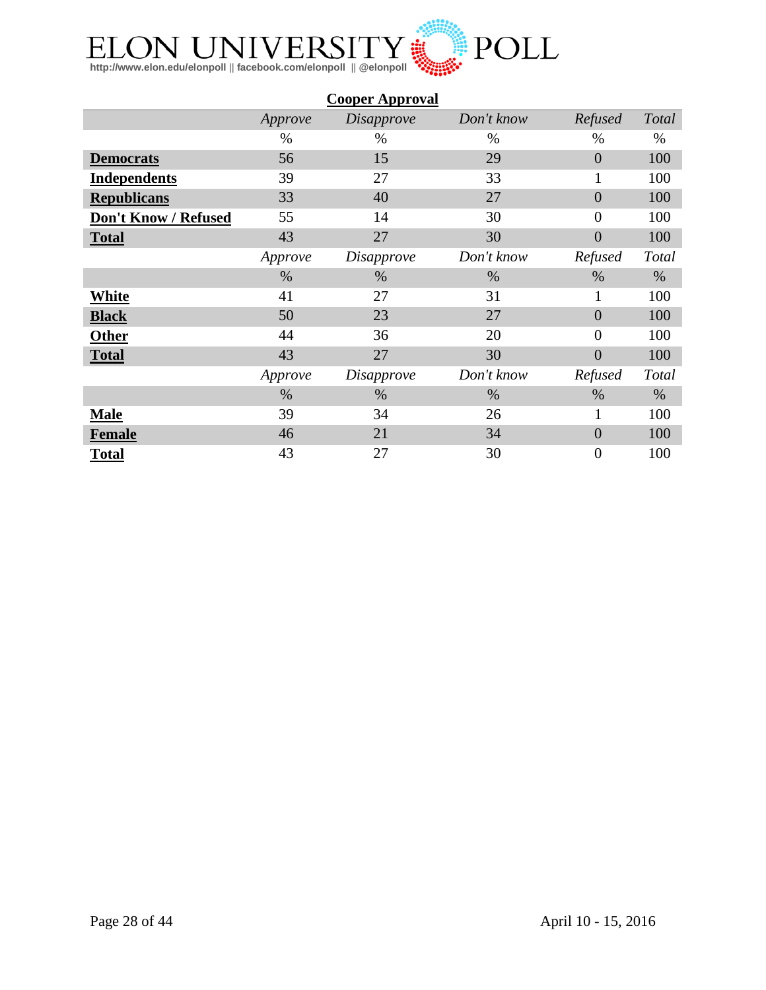

|                      |         | <b>Cooper Approval</b> |            |                |              |
|----------------------|---------|------------------------|------------|----------------|--------------|
|                      | Approve | <b>Disapprove</b>      | Don't know | Refused        | Total        |
|                      | %       | $\%$                   | %          | %              | %            |
| <b>Democrats</b>     | 56      | 15                     | 29         | $\overline{0}$ | 100          |
| <b>Independents</b>  | 39      | 27                     | 33         | $\mathbf{1}$   | 100          |
| <b>Republicans</b>   | 33      | 40                     | 27         | $\overline{0}$ | 100          |
| Don't Know / Refused | 55      | 14                     | 30         | $\overline{0}$ | 100          |
| <b>Total</b>         | 43      | 27                     | 30         | $\overline{0}$ | 100          |
|                      | Approve | <i>Disapprove</i>      | Don't know | Refused        | <b>Total</b> |
|                      | $\%$    | $\%$                   | $\%$       | $\%$           | $\%$         |
| White                | 41      | 27                     | 31         | $\mathbf{1}$   | 100          |
| <b>Black</b>         | 50      | 23                     | 27         | $\overline{0}$ | 100          |
| <b>Other</b>         | 44      | 36                     | 20         | $\overline{0}$ | 100          |
| <b>Total</b>         | 43      | 27                     | 30         | $\overline{0}$ | 100          |
|                      | Approve | <i>Disapprove</i>      | Don't know | Refused        | Total        |
|                      | $\%$    | $\%$                   | $\%$       | $\%$           | $\%$         |
| <b>Male</b>          | 39      | 34                     | 26         | 1              | 100          |
| <b>Female</b>        | 46      | 21                     | 34         | $\overline{0}$ | 100          |
| <b>Total</b>         | 43      | 27                     | 30         | $\overline{0}$ | 100          |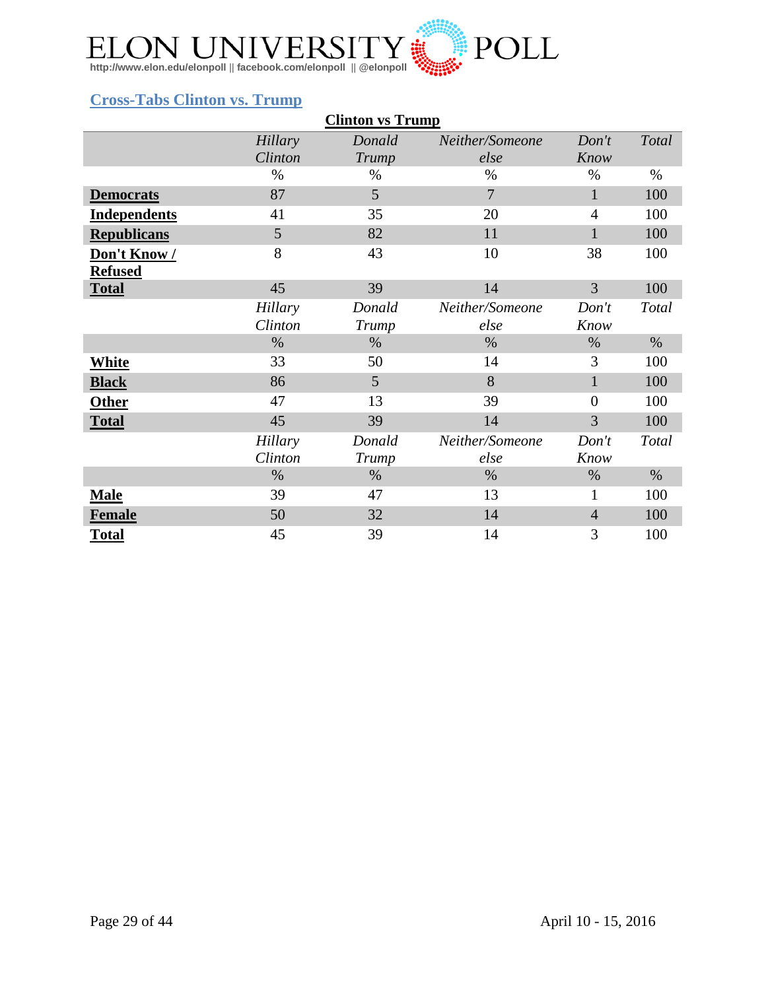

### <span id="page-28-0"></span>**Cross-Tabs Clinton vs. Trump**

|                     |         | <b>Clinton vs Trump</b> |                 |                |               |
|---------------------|---------|-------------------------|-----------------|----------------|---------------|
|                     | Hillary | Donald                  | Neither/Someone | Don't          | Total         |
|                     | Clinton | Trump                   | else            | Know           |               |
|                     | $\%$    | $\%$                    | $\%$            | $\%$           | $\frac{0}{0}$ |
| <b>Democrats</b>    | 87      | 5                       | $\overline{7}$  | $\mathbf{1}$   | 100           |
| <b>Independents</b> | 41      | 35                      | 20              | $\overline{4}$ | 100           |
| <b>Republicans</b>  | 5       | 82                      | 11              | 1              | 100           |
| Don't Know/         | 8       | 43                      | 10              | 38             | 100           |
| <b>Refused</b>      |         |                         |                 |                |               |
| <b>Total</b>        | 45      | 39                      | 14              | 3              | 100           |
|                     | Hillary | Donald                  | Neither/Someone | Don't          | Total         |
|                     | Clinton | Trump                   | else            | Know           |               |
|                     | $\%$    | %                       | $\%$            | $\%$           | $\%$          |
| <b>White</b>        | 33      | 50                      | 14              | 3              | 100           |
| <b>Black</b>        | 86      | 5                       | 8               | $\mathbf{1}$   | 100           |
| <b>Other</b>        | 47      | 13                      | 39              | $\overline{0}$ | 100           |
| <b>Total</b>        | 45      | 39                      | 14              | 3              | 100           |
|                     | Hillary | Donald                  | Neither/Someone | Don't          | Total         |
|                     | Clinton | Trump                   | else            | Know           |               |
|                     | $\%$    | $\%$                    | $\%$            | $\%$           | $\%$          |
| <b>Male</b>         | 39      | 47                      | 13              | $\mathbf{1}$   | 100           |
| <b>Female</b>       | 50      | 32                      | 14              | $\overline{4}$ | 100           |
| <b>Total</b>        | 45      | 39                      | 14              | 3              | 100           |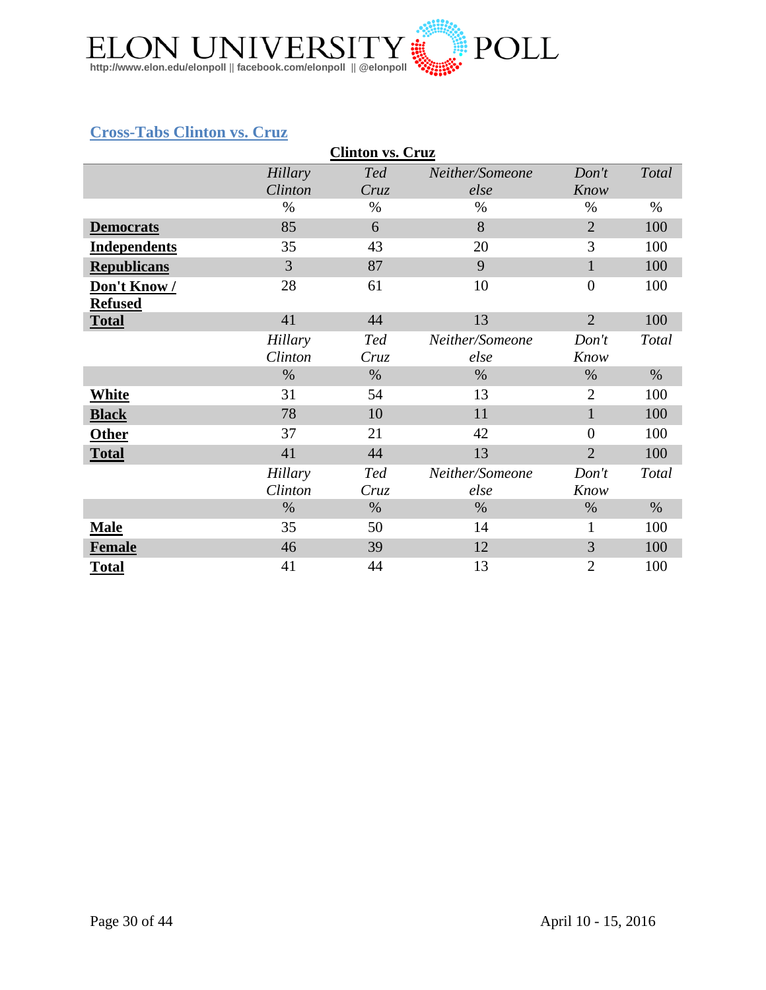

### <span id="page-29-0"></span>**Cross-Tabs Clinton vs. Cruz**

|                     | <b>Clinton vs. Cruz</b> |            |                 |                |       |  |  |  |  |
|---------------------|-------------------------|------------|-----------------|----------------|-------|--|--|--|--|
|                     | Hillary                 | <b>Ted</b> | Neither/Someone | Don't          | Total |  |  |  |  |
|                     | Clinton                 | Cruz       | else            | Know           |       |  |  |  |  |
|                     | $\%$                    | $\%$       | $\%$            | $\%$           | $\%$  |  |  |  |  |
| <b>Democrats</b>    | 85                      | 6          | 8               | $\overline{2}$ | 100   |  |  |  |  |
| <b>Independents</b> | 35                      | 43         | 20              | 3              | 100   |  |  |  |  |
| <b>Republicans</b>  | 3                       | 87         | 9               | $\mathbf{1}$   | 100   |  |  |  |  |
| Don't Know/         | 28                      | 61         | 10              | $\overline{0}$ | 100   |  |  |  |  |
| <b>Refused</b>      |                         |            |                 |                |       |  |  |  |  |
| <b>Total</b>        | 41                      | 44         | 13              | $\overline{2}$ | 100   |  |  |  |  |
|                     | Hillary                 | <b>Ted</b> | Neither/Someone | Don't          | Total |  |  |  |  |
|                     | Clinton                 | Cruz       | else            | Know           |       |  |  |  |  |
|                     | $\%$                    | $\%$       | $\%$            | %              | $\%$  |  |  |  |  |
| White               | 31                      | 54         | 13              | $\overline{2}$ | 100   |  |  |  |  |
| <b>Black</b>        | 78                      | 10         | 11              | $\mathbf{1}$   | 100   |  |  |  |  |
| <b>Other</b>        | 37                      | 21         | 42              | $\overline{0}$ | 100   |  |  |  |  |
| <b>Total</b>        | 41                      | 44         | 13              | $\overline{2}$ | 100   |  |  |  |  |
|                     | Hillary                 | <b>Ted</b> | Neither/Someone | Don't          | Total |  |  |  |  |
|                     | Clinton                 | Cruz       | else            | Know           |       |  |  |  |  |
|                     | $\%$                    | $\%$       | $\%$            | $\%$           | $\%$  |  |  |  |  |
| <b>Male</b>         | 35                      | 50         | 14              | $\mathbf{1}$   | 100   |  |  |  |  |
| <b>Female</b>       | 46                      | 39         | 12              | 3              | 100   |  |  |  |  |
| <b>Total</b>        | 41                      | 44         | 13              | $\overline{2}$ | 100   |  |  |  |  |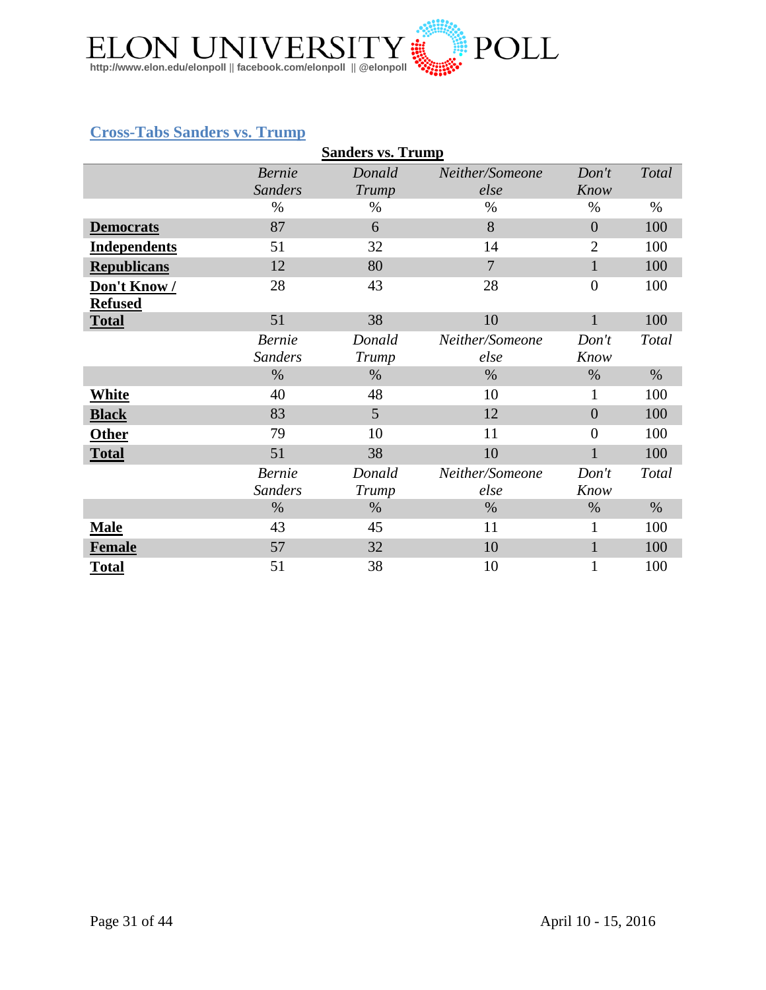

## <span id="page-30-0"></span>**Cross-Tabs Sanders vs. Trump**

|                     |                | <b>Sanders vs. Trump</b> |                 |                  |       |
|---------------------|----------------|--------------------------|-----------------|------------------|-------|
|                     | <b>Bernie</b>  | Donald                   | Neither/Someone | Don't            | Total |
|                     | <b>Sanders</b> | Trump                    | else            | Know             |       |
|                     | $\%$           | $\%$                     | $\%$            | $\%$             | $\%$  |
| <b>Democrats</b>    | 87             | 6                        | 8               | $\overline{0}$   | 100   |
| <b>Independents</b> | 51             | 32                       | 14              | $\overline{2}$   | 100   |
| <b>Republicans</b>  | 12             | 80                       | $\overline{7}$  | $\mathbf{1}$     | 100   |
| Don't Know/         | 28             | 43                       | 28              | $\boldsymbol{0}$ | 100   |
| <b>Refused</b>      |                |                          |                 |                  |       |
| <b>Total</b>        | 51             | 38                       | 10              | $\mathbf{1}$     | 100   |
|                     | <b>Bernie</b>  | Donald                   | Neither/Someone | Don't            | Total |
|                     | <b>Sanders</b> | Trump                    | else            | Know             |       |
|                     | $\%$           | $\%$                     | $\%$            | $\%$             | $\%$  |
| White               | 40             | 48                       | 10              | 1                | 100   |
| <b>Black</b>        | 83             | 5                        | 12              | $\overline{0}$   | 100   |
| <b>Other</b>        | 79             | 10                       | 11              | $\overline{0}$   | 100   |
| <b>Total</b>        | 51             | 38                       | 10              | $\mathbf{1}$     | 100   |
|                     | <b>Bernie</b>  | Donald                   | Neither/Someone | Don't            | Total |
|                     | <b>Sanders</b> | Trump                    | else            | Know             |       |
|                     | $\%$           | $\%$                     | $\%$            | $\%$             | $\%$  |
| <b>Male</b>         | 43             | 45                       | 11              | $\mathbf{1}$     | 100   |
| <b>Female</b>       | 57             | 32                       | 10              | $\mathbf{1}$     | 100   |
| <b>Total</b>        | 51             | 38                       | 10              | $\mathbf{1}$     | 100   |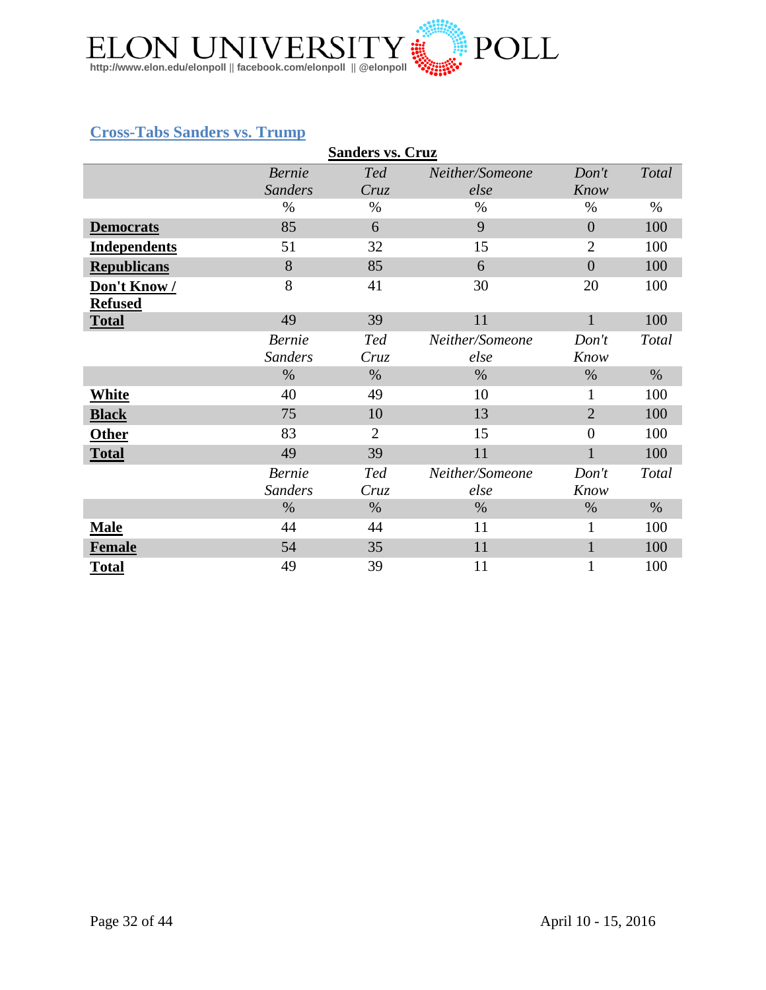

## <span id="page-31-0"></span>**Cross-Tabs Sanders vs. Trump**

|                     |                | <b>Sanders vs. Cruz</b> |                 |                |       |
|---------------------|----------------|-------------------------|-----------------|----------------|-------|
|                     | <b>Bernie</b>  | <b>Ted</b>              | Neither/Someone | Don't          | Total |
|                     | <b>Sanders</b> | Cruz                    | else            | Know           |       |
|                     | $\%$           | $\%$                    | $\%$            | $\%$           | $\%$  |
| <b>Democrats</b>    | 85             | 6                       | 9               | $\overline{0}$ | 100   |
| <b>Independents</b> | 51             | 32                      | 15              | $\overline{2}$ | 100   |
| <b>Republicans</b>  | 8              | 85                      | 6               | $\theta$       | 100   |
| Don't Know/         | 8              | 41                      | 30              | 20             | 100   |
| <b>Refused</b>      |                |                         |                 |                |       |
| <b>Total</b>        | 49             | 39                      | 11              | $\mathbf{1}$   | 100   |
|                     | <b>Bernie</b>  | <b>Ted</b>              | Neither/Someone | Don't          | Total |
|                     | <b>Sanders</b> | Cruz                    | else            | Know           |       |
|                     | $\%$           | $\%$                    | $\%$            | $\%$           | $\%$  |
| White               | 40             | 49                      | 10              | 1              | 100   |
| <b>Black</b>        | 75             | 10                      | 13              | $\overline{2}$ | 100   |
| <b>Other</b>        | 83             | $\overline{2}$          | 15              | $\overline{0}$ | 100   |
| <b>Total</b>        | 49             | 39                      | 11              |                | 100   |
|                     | <b>Bernie</b>  | <b>Ted</b>              | Neither/Someone | Don't          | Total |
|                     | <b>Sanders</b> | Cruz                    | else            | Know           |       |
|                     | $\%$           | $\%$                    | $\%$            | $\%$           | $\%$  |
| <b>Male</b>         | 44             | 44                      | 11              | $\mathbf{1}$   | 100   |
| <b>Female</b>       | 54             | 35                      | 11              | $\mathbf{1}$   | 100   |
| <b>Total</b>        | 49             | 39                      | 11              |                | 100   |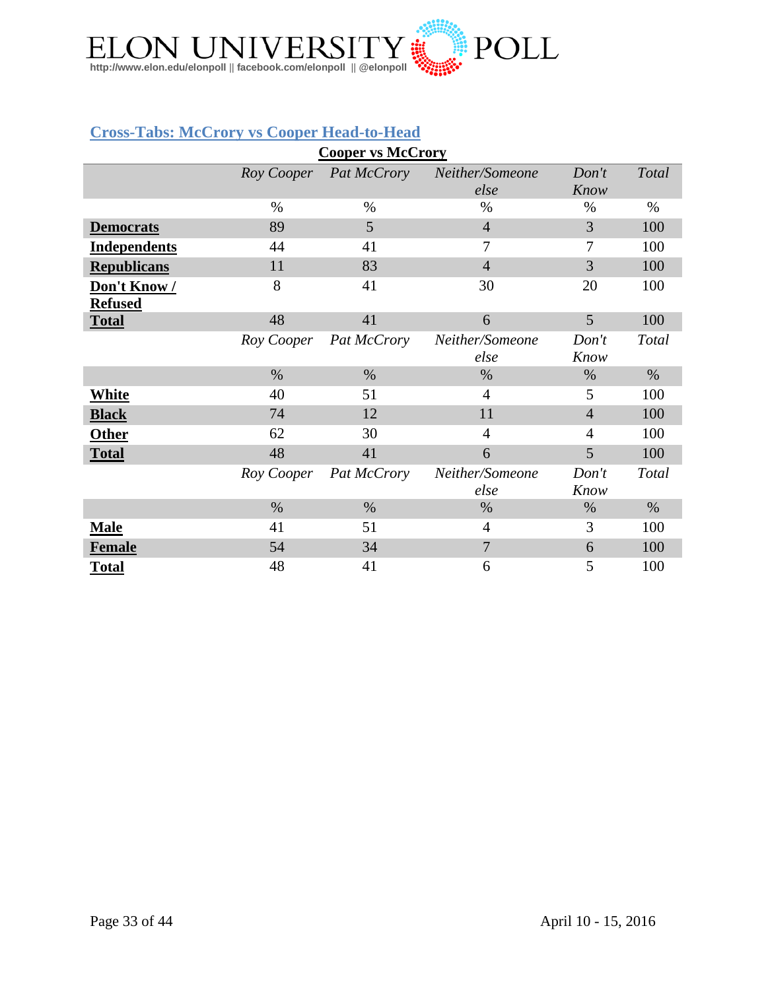

#### <span id="page-32-0"></span>**Cross-Tabs: McCrory vs Cooper Head-to-Head**

|                     |            | <b>Cooper vs McCrory</b> |                 |                |       |
|---------------------|------------|--------------------------|-----------------|----------------|-------|
|                     |            | Roy Cooper Pat McCrory   | Neither/Someone | Don't          | Total |
|                     |            |                          | else            | Know           |       |
|                     | $\%$       | $\%$                     | $\%$            | $\%$           | $\%$  |
| <b>Democrats</b>    | 89         | 5                        | $\overline{4}$  | 3              | 100   |
| <b>Independents</b> | 44         | 41                       | 7               | 7              | 100   |
| <b>Republicans</b>  | 11         | 83                       | $\overline{4}$  | 3              | 100   |
| Don't Know/         | 8          | 41                       | 30              | 20             | 100   |
| <b>Refused</b>      |            |                          |                 |                |       |
| <b>Total</b>        | 48         | 41                       | 6               | 5              | 100   |
|                     | Roy Cooper | Pat McCrory              | Neither/Someone | Don't          | Total |
|                     |            |                          | else            | Know           |       |
|                     | $\%$       | $\%$                     | $\%$            | %              | $\%$  |
| <b>White</b>        | 40         | 51                       | 4               | 5              | 100   |
| <b>Black</b>        | 74         | 12                       | 11              | $\overline{4}$ | 100   |
| <b>Other</b>        | 62         | 30                       | $\overline{4}$  | $\overline{4}$ | 100   |
| <b>Total</b>        | 48         | 41                       | 6               | 5              | 100   |
|                     | Roy Cooper | Pat McCrory              | Neither/Someone | Don't          | Total |
|                     |            |                          | else            | Know           |       |
|                     | $\%$       | $\%$                     | $\%$            | $\%$           | $\%$  |
| <b>Male</b>         | 41         | 51                       | 4               | 3              | 100   |
| <b>Female</b>       | 54         | 34                       | $\overline{7}$  | 6              | 100   |
| <b>Total</b>        | 48         | 41                       | 6               | 5              | 100   |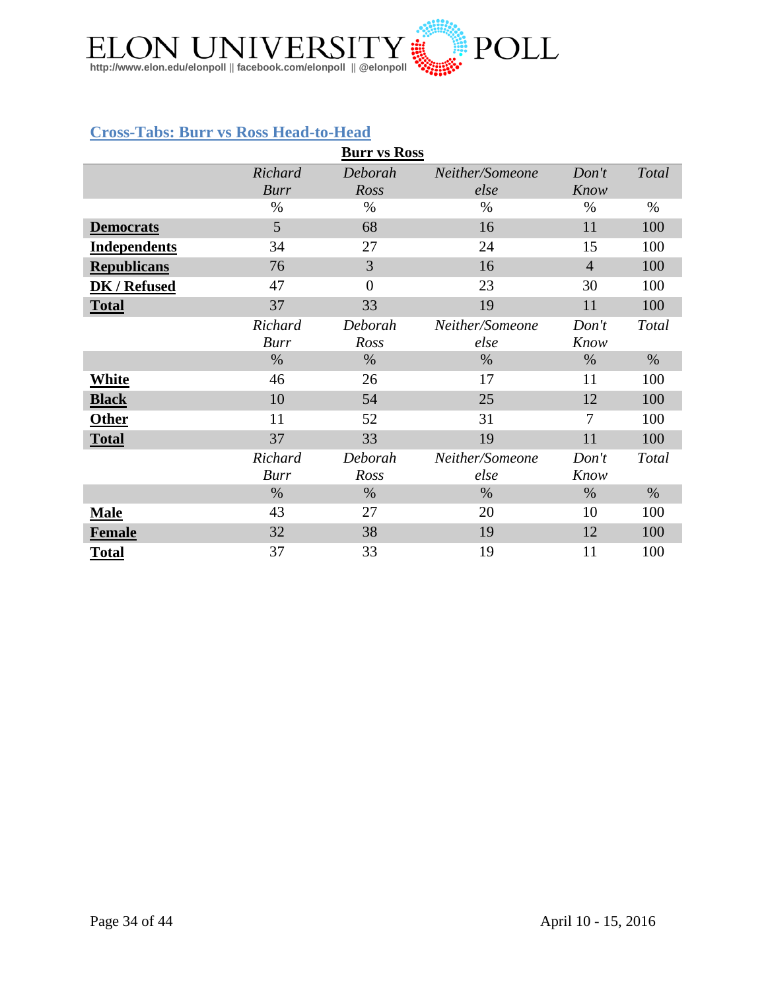

#### <span id="page-33-0"></span>**Cross-Tabs: Burr vs Ross Head-to-Head**

|                     |             | <b>Burr vs Ross</b> |                 |                |              |
|---------------------|-------------|---------------------|-----------------|----------------|--------------|
|                     | Richard     | Deborah             | Neither/Someone | Don't          | <b>Total</b> |
|                     | <b>Burr</b> | Ross                | else            | Know           |              |
|                     | $\%$        | $\%$                | $\%$            | $\%$           | $\%$         |
| <b>Democrats</b>    | 5           | 68                  | 16              | 11             | 100          |
| <b>Independents</b> | 34          | 27                  | 24              | 15             | 100          |
| <b>Republicans</b>  | 76          | 3                   | 16              | $\overline{4}$ | 100          |
| DK / Refused        | 47          | $\overline{0}$      | 23              | 30             | 100          |
| <b>Total</b>        | 37          | 33                  | 19              | 11             | 100          |
|                     | Richard     | Deborah             | Neither/Someone | Don't          | Total        |
|                     | <b>Burr</b> | Ross                | else            | Know           |              |
|                     | $\%$        | $\%$                | $\%$            | $\%$           | $\%$         |
| <b>White</b>        | 46          | 26                  | 17              | 11             | 100          |
| <b>Black</b>        | 10          | 54                  | 25              | 12             | 100          |
| <b>Other</b>        | 11          | 52                  | 31              | $\overline{7}$ | 100          |
| <b>Total</b>        | 37          | 33                  | 19              | 11             | 100          |
|                     | Richard     | Deborah             | Neither/Someone | Don't          | Total        |
|                     | <b>Burr</b> | Ross                | else            | Know           |              |
|                     | $\%$        | $\%$                | $\%$            | %              | %            |
| <b>Male</b>         | 43          | 27                  | 20              | 10             | 100          |
| <b>Female</b>       | 32          | 38                  | 19              | 12             | 100          |
| <b>Total</b>        | 37          | 33                  | 19              | 11             | 100          |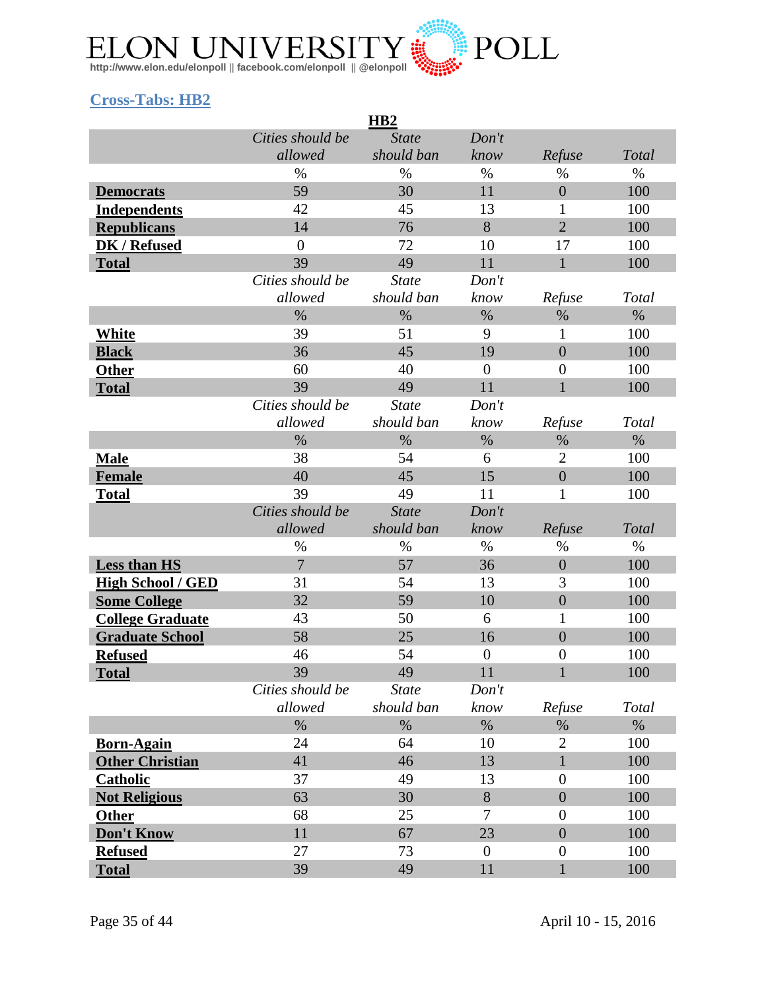

### <span id="page-34-0"></span>**Cross-Tabs: HB2**

| H <sub>B2</sub>          |                  |              |                  |                  |       |
|--------------------------|------------------|--------------|------------------|------------------|-------|
|                          | Cities should be | <b>State</b> | Don't            |                  |       |
|                          | allowed          | should ban   | know             | Refuse           | Total |
|                          | $\%$             | $\%$         | $\%$             | $\%$             | $\%$  |
| <b>Democrats</b>         | 59               | 30           | 11               | $\overline{0}$   | 100   |
| <b>Independents</b>      | 42               | 45           | 13               | 1                | 100   |
| <b>Republicans</b>       | 14               | 76           | 8                | $\overline{2}$   | 100   |
| <b>DK / Refused</b>      | $\overline{0}$   | 72           | 10               | 17               | 100   |
| <b>Total</b>             | 39               | 49           | 11               | $\mathbf{1}$     | 100   |
|                          | Cities should be | <b>State</b> | Don't            |                  |       |
|                          | allowed          | should ban   | know             | Refuse           | Total |
|                          | $\%$             | $\%$         | $\%$             | $\%$             | $\%$  |
| <b>White</b>             | 39               | 51           | 9                | $\mathbf{1}$     | 100   |
| <b>Black</b>             | 36               | 45           | 19               | $\overline{0}$   | 100   |
| <b>Other</b>             | 60               | 40           | $\boldsymbol{0}$ | $\overline{0}$   | 100   |
| <b>Total</b>             | 39               | 49           | 11               | $\mathbf{1}$     | 100   |
|                          | Cities should be | <b>State</b> | Don't            |                  |       |
|                          | allowed          | should ban   | know             | Refuse           | Total |
|                          | $\%$             | $\%$         | $\%$             | $\%$             | $\%$  |
| <b>Male</b>              | 38               | 54           | 6                | $\overline{2}$   | 100   |
| Female                   | 40               | 45           | 15               | $\overline{0}$   | 100   |
| <b>Total</b>             | 39               | 49           | 11               | 1                | 100   |
|                          | Cities should be | <b>State</b> | Don't            |                  |       |
|                          | allowed          | should ban   | know             | Refuse           | Total |
|                          | $\%$             | %            | $\%$             | $\%$             | $\%$  |
| Less than HS             | $\overline{7}$   | 57           | 36               | $\boldsymbol{0}$ | 100   |
| <b>High School / GED</b> | 31               | 54           | 13               | 3                | 100   |
| <b>Some College</b>      | 32               | 59           | 10               | $\overline{0}$   | 100   |
| <b>College Graduate</b>  | 43               | 50           | 6                | $\mathbf{1}$     | 100   |
| <b>Graduate School</b>   | 58               | 25           | 16               | $\boldsymbol{0}$ | 100   |
| <b>Refused</b>           | 46               | 54           | $\boldsymbol{0}$ | $\boldsymbol{0}$ | 100   |
| <b>Total</b>             | 39               | 49           | 11               | $\mathbf{1}$     | 100   |
|                          | Cities should be | <b>State</b> | Don't            |                  |       |
|                          | allowed          | should ban   | know             | Refuse           | Total |
|                          | $\%$             | $\%$         | $\%$             | $\%$             | $\%$  |
| <b>Born-Again</b>        | 24               | 64           | 10               | $\overline{2}$   | 100   |
| <b>Other Christian</b>   | 41               | 46           | 13               | $\mathbf{1}$     | 100   |
| <b>Catholic</b>          | 37               | 49           | 13               | $\boldsymbol{0}$ | 100   |
| <b>Not Religious</b>     | 63               | 30           | 8                | $\boldsymbol{0}$ | 100   |
| <b>Other</b>             | 68               | 25           | 7                | $\boldsymbol{0}$ | 100   |
| Don't Know               | 11               | 67           | 23               | $\overline{0}$   | 100   |
| <b>Refused</b>           | 27               | 73           | $\theta$         | $\boldsymbol{0}$ | 100   |
| <b>Total</b>             | 39               | 49           | 11               | $\mathbf{1}$     | 100   |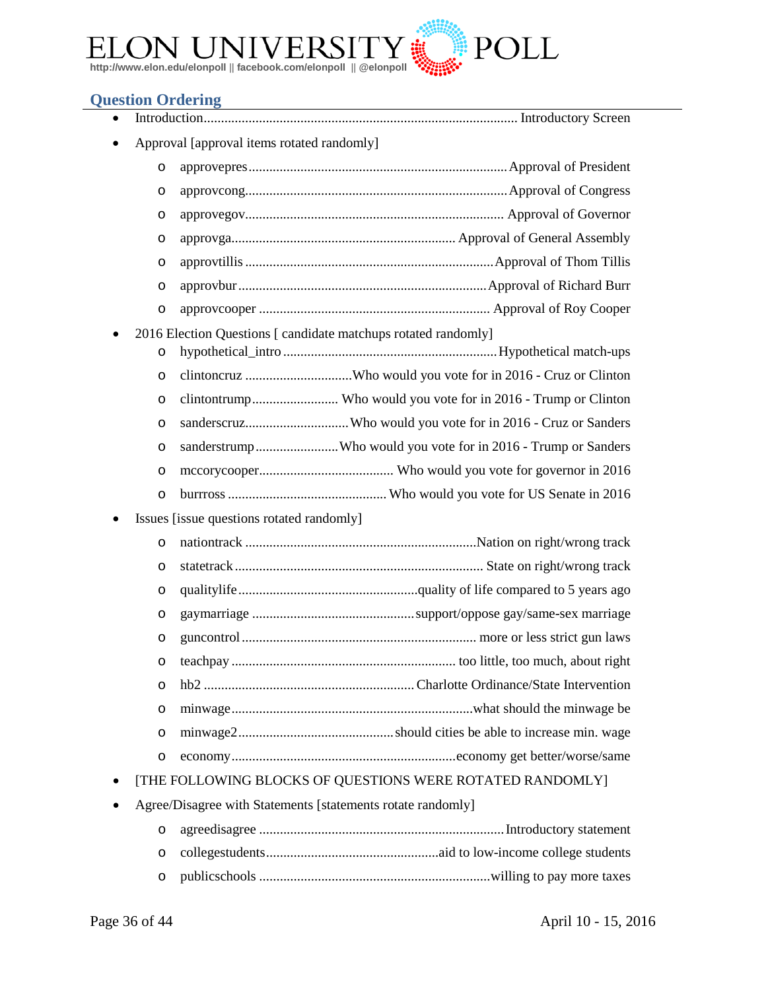

#### <span id="page-35-0"></span>**Question Ordering**

- Introduction........................................................................................... Introductory Screen
- Approval [approval items rotated randomly]

| $\circ$ |  |
|---------|--|
| $\circ$ |  |
| $\circ$ |  |
| $\circ$ |  |
| $\circ$ |  |
| $\circ$ |  |
| $\circ$ |  |

- 2016 Election Questions [ candidate matchups rotated randomly]
	- o hypothetical\_intro ..............................................................Hypothetical match-ups
	- o clintoncruz ...............................Who would you vote for in 2016 Cruz or Clinton
	- o clintontrump......................... Who would you vote for in 2016 Trump or Clinton
	- o sanderscruz..............................Who would you vote for in 2016 Cruz or Sanders
	- o sanderstrump........................Who would you vote for in 2016 Trump or Sanders
	- o mccorycooper....................................... Who would you vote for governor in 2016
	- o burrross.............................................. Who would you vote for US Senate in 2016
- Issues [issue questions rotated randomly]

| $\circ$ |  |
|---------|--|
| $\circ$ |  |
| $\circ$ |  |
| $\circ$ |  |
| $\circ$ |  |
| $\circ$ |  |
| $\circ$ |  |
| $\circ$ |  |
| $\circ$ |  |
| $\circ$ |  |
|         |  |

- [THE FOLLOWING BLOCKS OF QUESTIONS WERE ROTATED RANDOMLY]
- Agree/Disagree with Statements [statements rotate randomly]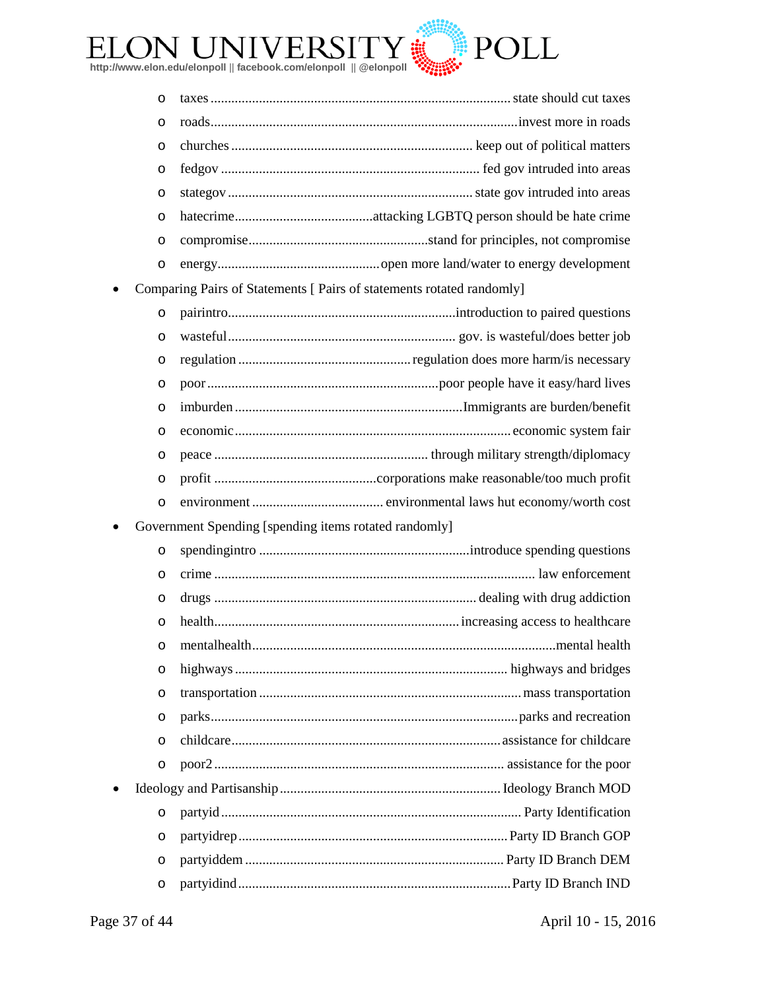

| $\circ$ |  |
|---------|--|
|         |  |
|         |  |
|         |  |
| $\circ$ |  |

• Comparing Pairs of Statements [ Pairs of statements rotated randomly]

o pairintro..................................................................introduction to paired questions o wasteful.................................................................. gov. is wasteful/does better job o regulation ..................................................regulation does more harm/is necessary o poor...................................................................poor people have it easy/hard lives o imburden ..................................................................Immigrants are burden/benefit o economic................................................................................ economic system fair o peace .............................................................. through military strength/diplomacy o profit ...............................................corporations make reasonable/too much profit o environment ...................................... environmental laws hut economy/worth cost

Government Spending [spending items rotated randomly]

| O         |  |
|-----------|--|
| O         |  |
| $\circ$   |  |
| $\circ$   |  |
| $\circ$   |  |
| $\circ$   |  |
| $\circ$   |  |
| $\circ$   |  |
| $\circ$   |  |
| $\circ$   |  |
| $\bullet$ |  |
| $\circ$   |  |
| O         |  |
| $\circ$   |  |
| $\circ$   |  |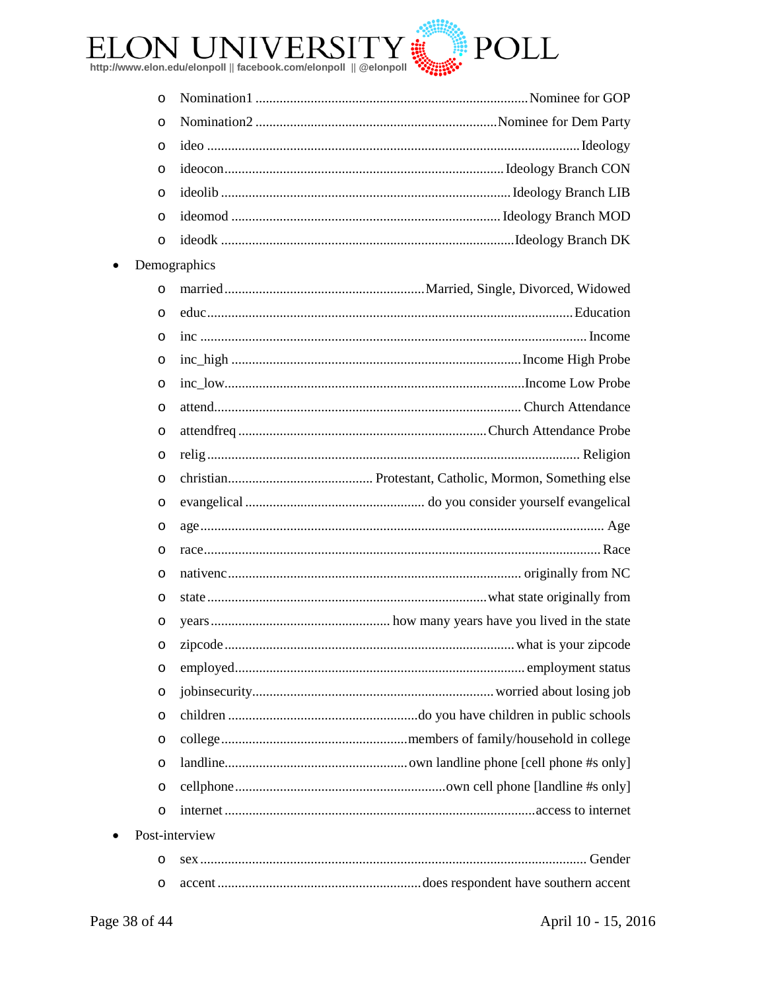

| O |                |
|---|----------------|
| O |                |
| O |                |
| O |                |
| O |                |
| O |                |
| O |                |
|   | Demographics   |
| O |                |
| O |                |
| O |                |
| O |                |
| O |                |
| O |                |
| O |                |
| O |                |
| O |                |
| O |                |
| O |                |
| O |                |
| O |                |
| O |                |
| O |                |
| O |                |
| O |                |
| O |                |
| O |                |
| O |                |
| O |                |
| O |                |
| O |                |
|   | Post-interview |
| O |                |
| O |                |

 $\bullet$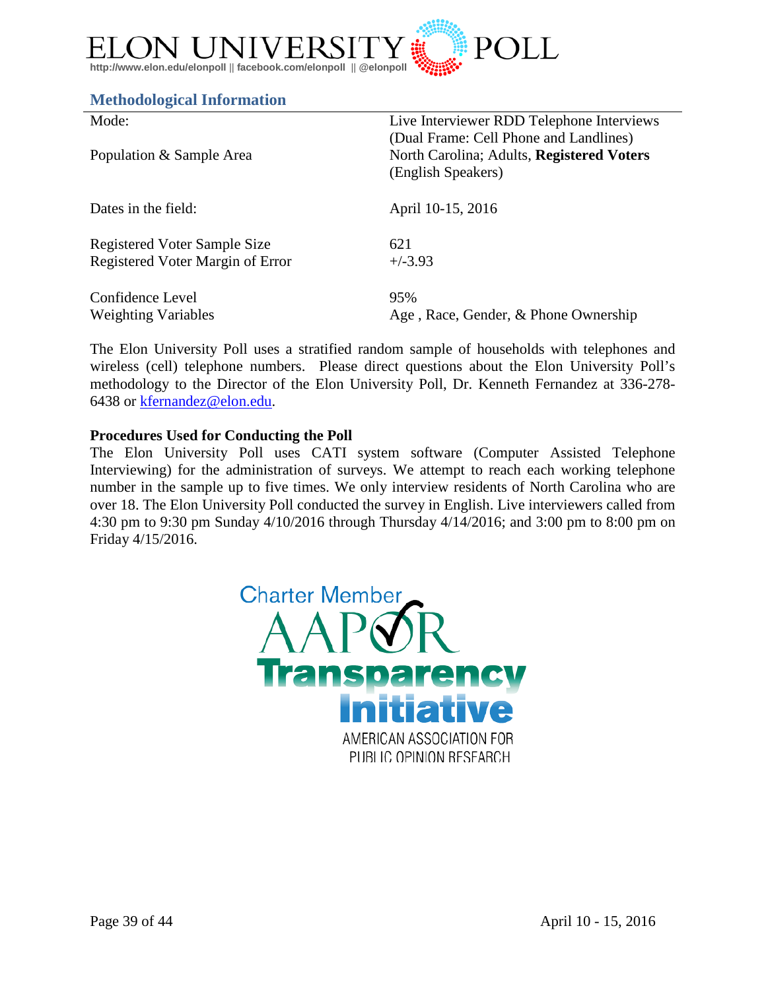

#### <span id="page-38-0"></span>**Methodological Information**

| Mode:                            | Live Interviewer RDD Telephone Interviews                                                                 |
|----------------------------------|-----------------------------------------------------------------------------------------------------------|
| Population & Sample Area         | (Dual Frame: Cell Phone and Landlines)<br>North Carolina; Adults, Registered Voters<br>(English Speakers) |
| Dates in the field:              | April 10-15, 2016                                                                                         |
| Registered Voter Sample Size     | 621                                                                                                       |
| Registered Voter Margin of Error | $+/-3.93$                                                                                                 |
| Confidence Level                 | 95%                                                                                                       |
| <b>Weighting Variables</b>       | Age, Race, Gender, & Phone Ownership                                                                      |

The Elon University Poll uses a stratified random sample of households with telephones and wireless (cell) telephone numbers. Please direct questions about the Elon University Poll's methodology to the Director of the Elon University Poll, Dr. Kenneth Fernandez at 336-278- 6438 or [kfernandez@elon.edu.](mailto:kfernandez@elon.edu)

#### **Procedures Used for Conducting the Poll**

The Elon University Poll uses CATI system software (Computer Assisted Telephone Interviewing) for the administration of surveys. We attempt to reach each working telephone number in the sample up to five times. We only interview residents of North Carolina who are over 18. The Elon University Poll conducted the survey in English. Live interviewers called from 4:30 pm to 9:30 pm Sunday 4/10/2016 through Thursday 4/14/2016; and 3:00 pm to 8:00 pm on Friday 4/15/2016.

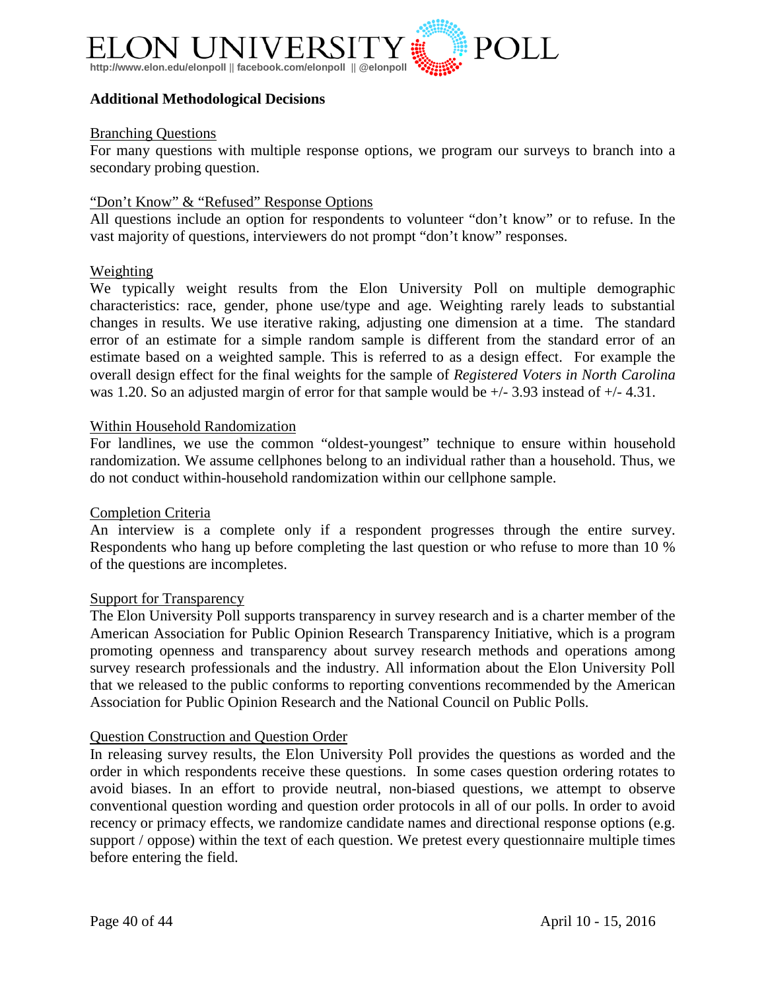

#### **Additional Methodological Decisions**

#### Branching Questions

For many questions with multiple response options, we program our surveys to branch into a secondary probing question.

#### "Don't Know" & "Refused" Response Options

All questions include an option for respondents to volunteer "don't know" or to refuse. In the vast majority of questions, interviewers do not prompt "don't know" responses.

#### Weighting

We typically weight results from the Elon University Poll on multiple demographic characteristics: race, gender, phone use/type and age. Weighting rarely leads to substantial changes in results. We use iterative raking, adjusting one dimension at a time. The standard error of an estimate for a simple random sample is different from the standard error of an estimate based on a weighted sample. This is referred to as a design effect. For example the overall design effect for the final weights for the sample of *Registered Voters in North Carolina* was 1.20. So an adjusted margin of error for that sample would be  $+/- 3.93$  instead of  $+/- 4.31$ .

#### Within Household Randomization

For landlines, we use the common "oldest-youngest" technique to ensure within household randomization. We assume cellphones belong to an individual rather than a household. Thus, we do not conduct within-household randomization within our cellphone sample.

#### Completion Criteria

An interview is a complete only if a respondent progresses through the entire survey. Respondents who hang up before completing the last question or who refuse to more than 10 % of the questions are incompletes.

#### Support for Transparency

The Elon University Poll supports transparency in survey research and is a charter member of the American Association for Public Opinion Research Transparency Initiative, which is a program promoting openness and transparency about survey research methods and operations among survey research professionals and the industry. All information about the Elon University Poll that we released to the public conforms to reporting conventions recommended by the American Association for Public Opinion Research and the National Council on Public Polls.

#### Question Construction and Question Order

In releasing survey results, the Elon University Poll provides the questions as worded and the order in which respondents receive these questions. In some cases question ordering rotates to avoid biases. In an effort to provide neutral, non-biased questions, we attempt to observe conventional question wording and question order protocols in all of our polls. In order to avoid recency or primacy effects, we randomize candidate names and directional response options (e.g. support / oppose) within the text of each question. We pretest every questionnaire multiple times before entering the field.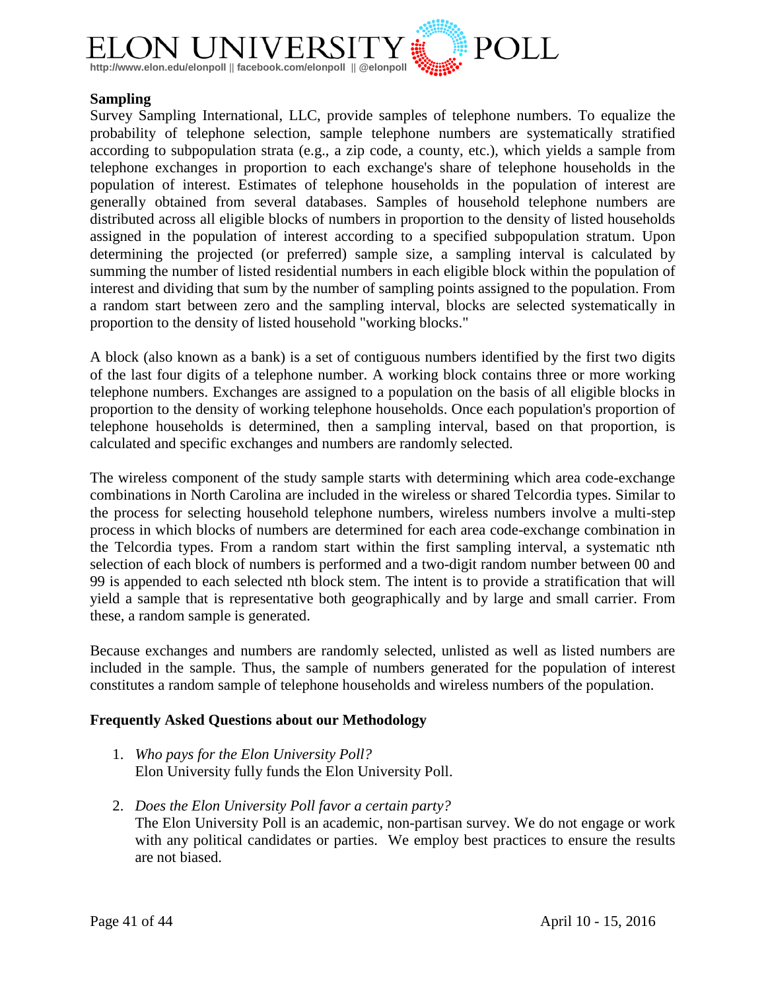

#### **Sampling**

Survey Sampling International, LLC, provide samples of telephone numbers. To equalize the probability of telephone selection, sample telephone numbers are systematically stratified according to subpopulation strata (e.g., a zip code, a county, etc.), which yields a sample from telephone exchanges in proportion to each exchange's share of telephone households in the population of interest. Estimates of telephone households in the population of interest are generally obtained from several databases. Samples of household telephone numbers are distributed across all eligible blocks of numbers in proportion to the density of listed households assigned in the population of interest according to a specified subpopulation stratum. Upon determining the projected (or preferred) sample size, a sampling interval is calculated by summing the number of listed residential numbers in each eligible block within the population of interest and dividing that sum by the number of sampling points assigned to the population. From a random start between zero and the sampling interval, blocks are selected systematically in proportion to the density of listed household "working blocks."

A block (also known as a bank) is a set of contiguous numbers identified by the first two digits of the last four digits of a telephone number. A working block contains three or more working telephone numbers. Exchanges are assigned to a population on the basis of all eligible blocks in proportion to the density of working telephone households. Once each population's proportion of telephone households is determined, then a sampling interval, based on that proportion, is calculated and specific exchanges and numbers are randomly selected.

The wireless component of the study sample starts with determining which area code-exchange combinations in North Carolina are included in the wireless or shared Telcordia types. Similar to the process for selecting household telephone numbers, wireless numbers involve a multi-step process in which blocks of numbers are determined for each area code-exchange combination in the Telcordia types. From a random start within the first sampling interval, a systematic nth selection of each block of numbers is performed and a two-digit random number between 00 and 99 is appended to each selected nth block stem. The intent is to provide a stratification that will yield a sample that is representative both geographically and by large and small carrier. From these, a random sample is generated.

Because exchanges and numbers are randomly selected, unlisted as well as listed numbers are included in the sample. Thus, the sample of numbers generated for the population of interest constitutes a random sample of telephone households and wireless numbers of the population.

#### **Frequently Asked Questions about our Methodology**

- 1. *Who pays for the Elon University Poll?* Elon University fully funds the Elon University Poll.
- 2. *Does the Elon University Poll favor a certain party?* The Elon University Poll is an academic, non-partisan survey. We do not engage or work with any political candidates or parties. We employ best practices to ensure the results are not biased.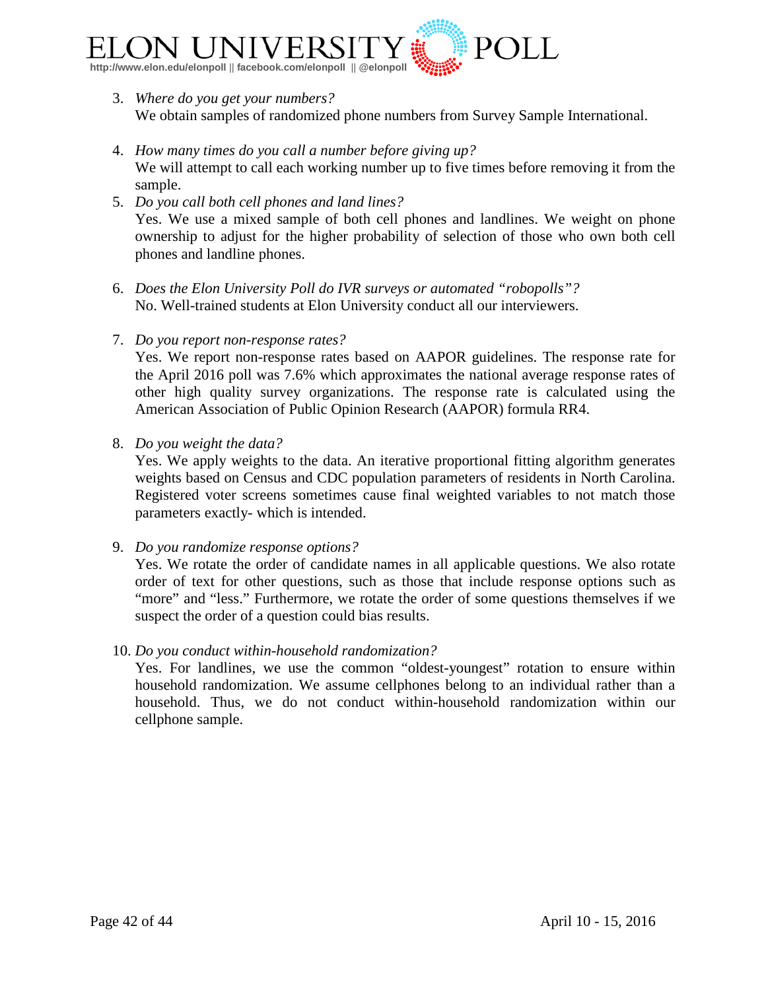

- 3. *Where do you get your numbers?* We obtain samples of randomized phone numbers from Survey Sample International.
- 4. *How many times do you call a number before giving up?* We will attempt to call each working number up to five times before removing it from the sample.
- 5. *Do you call both cell phones and land lines?* Yes. We use a mixed sample of both cell phones and landlines. We weight on phone ownership to adjust for the higher probability of selection of those who own both cell phones and landline phones.
- 6. *Does the Elon University Poll do IVR surveys or automated "robopolls"?* No. Well-trained students at Elon University conduct all our interviewers.
- 7. *Do you report non-response rates?*

Yes. We report non-response rates based on AAPOR guidelines. The response rate for the April 2016 poll was 7.6% which approximates the national average response rates of other high quality survey organizations. The response rate is calculated using the American Association of Public Opinion Research (AAPOR) formula RR4.

8. *Do you weight the data?*

Yes. We apply weights to the data. An iterative proportional fitting algorithm generates weights based on Census and CDC population parameters of residents in North Carolina. Registered voter screens sometimes cause final weighted variables to not match those parameters exactly- which is intended.

9. *Do you randomize response options?*

Yes. We rotate the order of candidate names in all applicable questions. We also rotate order of text for other questions, such as those that include response options such as "more" and "less." Furthermore, we rotate the order of some questions themselves if we suspect the order of a question could bias results.

10. *Do you conduct within-household randomization?*

Yes. For landlines, we use the common "oldest-youngest" rotation to ensure within household randomization. We assume cellphones belong to an individual rather than a household. Thus, we do not conduct within-household randomization within our cellphone sample.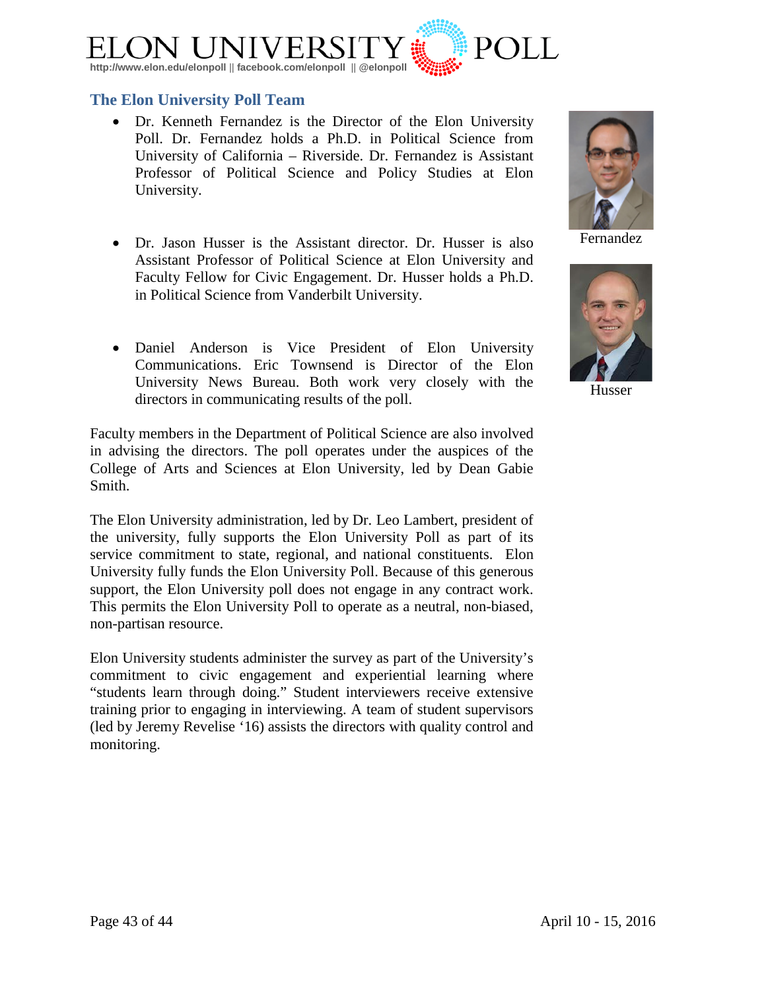

#### <span id="page-42-0"></span>**The Elon University Poll Team**

- [Dr. Kenneth Fernandez](http://www.elon.edu/directories/profile/?user=kfernandez) is the Director of the Elon University Poll. Dr. Fernandez holds a Ph.D. in Political Science from University of California – Riverside. Dr. Fernandez is Assistant Professor of Political Science and Policy Studies at Elon University.
- [Dr. Jason Husser](http://www.elon.edu/directories/profile/?user=jhusser) is the Assistant director. Dr. Husser is also Assistant Professor of Political Science at Elon University and Faculty Fellow for Civic Engagement. Dr. Husser holds a Ph.D. in Political Science from Vanderbilt University.
- Daniel Anderson is Vice President of Elon University Communications. Eric Townsend is Director of the Elon University News Bureau. Both work very closely with the directors in communicating results of the poll.

Faculty members in the Department of Political Science are also involved in advising the directors. The poll operates under the auspices of the College of Arts and Sciences at Elon University, led by Dean Gabie Smith.

The Elon University administration, led by Dr. Leo Lambert, president of the university, fully supports the Elon University Poll as part of its service commitment to state, regional, and national constituents. Elon University fully funds the Elon University Poll. Because of this generous support, the Elon University poll does not engage in any contract work. This permits the Elon University Poll to operate as a neutral, non-biased, non-partisan resource.

Elon University students administer the survey as part of the University's commitment to civic engagement and experiential learning where "students learn through doing." Student interviewers receive extensive training prior to engaging in interviewing. A team of student supervisors (led by Jeremy Revelise '16) assists the directors with quality control and monitoring.

Fernandez



Husser